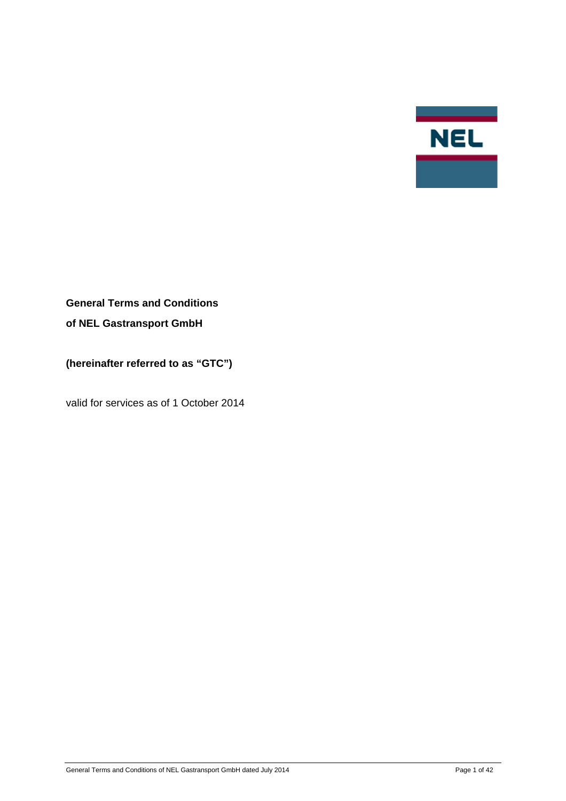

# **General Terms and Conditions of NEL Gastransport GmbH**

**(hereinafter referred to as "GTC")** 

valid for services as of 1 October 2014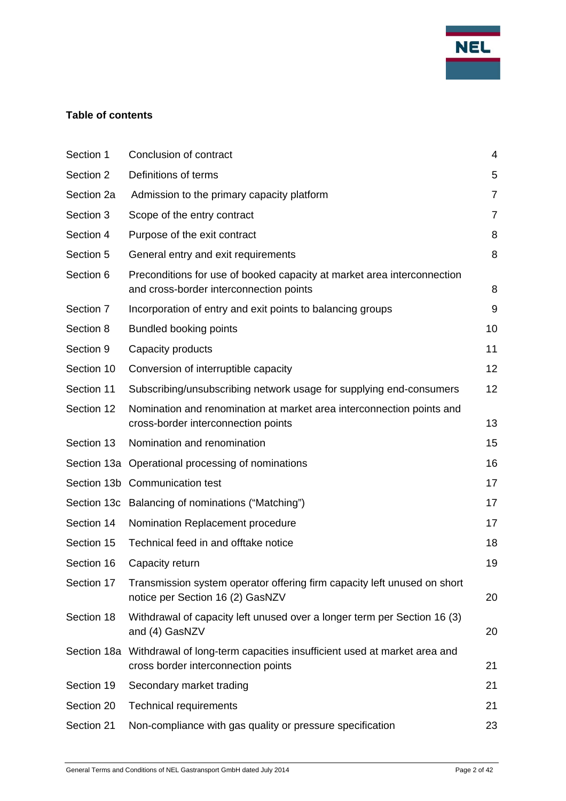

## **Table of contents**

| Section 1  | Conclusion of contract                                                                                                     | 4              |
|------------|----------------------------------------------------------------------------------------------------------------------------|----------------|
| Section 2  | Definitions of terms                                                                                                       | 5              |
| Section 2a | Admission to the primary capacity platform                                                                                 | $\overline{7}$ |
| Section 3  | Scope of the entry contract                                                                                                | $\overline{7}$ |
| Section 4  | Purpose of the exit contract                                                                                               | 8              |
| Section 5  | General entry and exit requirements                                                                                        | 8              |
| Section 6  | Preconditions for use of booked capacity at market area interconnection<br>and cross-border interconnection points         | 8              |
| Section 7  | Incorporation of entry and exit points to balancing groups                                                                 | 9              |
| Section 8  | <b>Bundled booking points</b>                                                                                              | 10             |
| Section 9  | Capacity products                                                                                                          | 11             |
| Section 10 | Conversion of interruptible capacity                                                                                       | 12             |
| Section 11 | Subscribing/unsubscribing network usage for supplying end-consumers                                                        | 12             |
| Section 12 | Nomination and renomination at market area interconnection points and<br>cross-border interconnection points               | 13             |
| Section 13 | Nomination and renomination                                                                                                | 15             |
|            | Section 13a Operational processing of nominations                                                                          | 16             |
|            | Section 13b Communication test                                                                                             | 17             |
|            | Section 13c Balancing of nominations ("Matching")                                                                          | 17             |
| Section 14 | Nomination Replacement procedure                                                                                           | 17             |
| Section 15 | Technical feed in and offtake notice                                                                                       | 18             |
| Section 16 | Capacity return                                                                                                            | 19             |
| Section 17 | Transmission system operator offering firm capacity left unused on short<br>notice per Section 16 (2) GasNZV               | 20             |
| Section 18 | Withdrawal of capacity left unused over a longer term per Section 16 (3)<br>and (4) GasNZV                                 | 20             |
|            | Section 18a Withdrawal of long-term capacities insufficient used at market area and<br>cross border interconnection points | 21             |
| Section 19 | Secondary market trading                                                                                                   | 21             |
| Section 20 | <b>Technical requirements</b>                                                                                              | 21             |
| Section 21 | Non-compliance with gas quality or pressure specification                                                                  | 23             |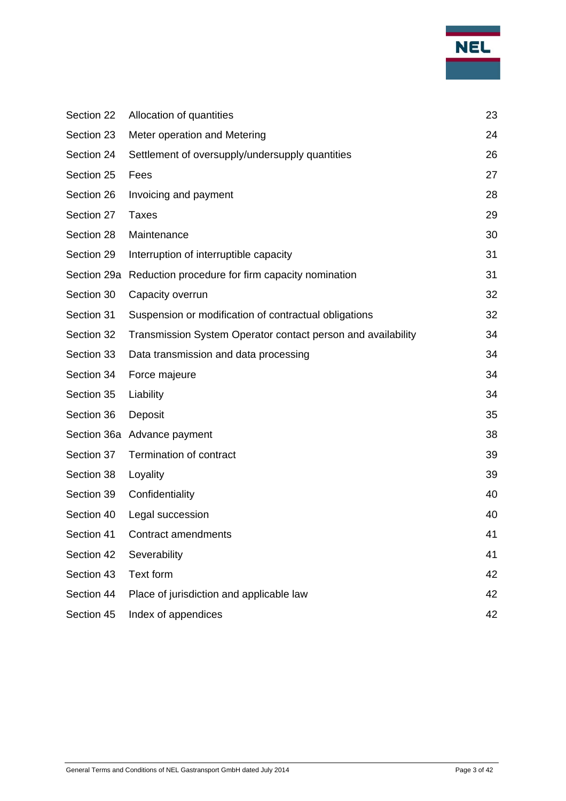

| Section 22 | Allocation of quantities                                     | 23 |
|------------|--------------------------------------------------------------|----|
| Section 23 | Meter operation and Metering                                 | 24 |
| Section 24 | Settlement of oversupply/undersupply quantities              | 26 |
| Section 25 | Fees                                                         | 27 |
| Section 26 | Invoicing and payment                                        | 28 |
| Section 27 | <b>Taxes</b>                                                 | 29 |
| Section 28 | Maintenance                                                  | 30 |
| Section 29 | Interruption of interruptible capacity                       | 31 |
|            | Section 29a Reduction procedure for firm capacity nomination | 31 |
| Section 30 | Capacity overrun                                             | 32 |
| Section 31 | Suspension or modification of contractual obligations        | 32 |
| Section 32 | Transmission System Operator contact person and availability | 34 |
| Section 33 | Data transmission and data processing                        | 34 |
| Section 34 | Force majeure                                                | 34 |
| Section 35 | Liability                                                    | 34 |
| Section 36 | Deposit                                                      | 35 |
|            | Section 36a Advance payment                                  | 38 |
| Section 37 | Termination of contract                                      | 39 |
| Section 38 | Loyality                                                     | 39 |
| Section 39 | Confidentiality                                              | 40 |
| Section 40 | Legal succession                                             | 40 |
| Section 41 | Contract amendments                                          | 41 |
| Section 42 | Severability                                                 | 41 |
| Section 43 | Text form                                                    | 42 |
| Section 44 | Place of jurisdiction and applicable law                     | 42 |
| Section 45 | Index of appendices                                          | 42 |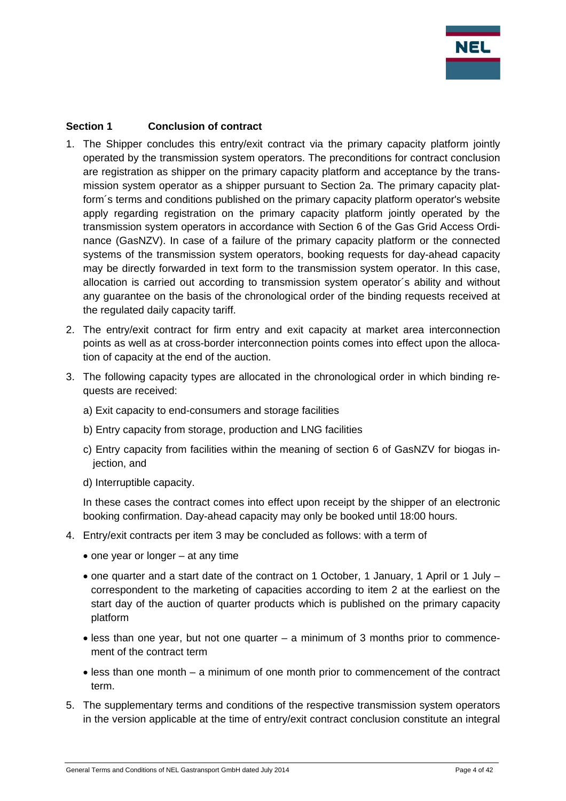

## **Section 1 Conclusion of contract**

- 1. The Shipper concludes this entry/exit contract via the primary capacity platform jointly operated by the transmission system operators. The preconditions for contract conclusion are registration as shipper on the primary capacity platform and acceptance by the transmission system operator as a shipper pursuant to Section 2a. The primary capacity platform´s terms and conditions published on the primary capacity platform operator's website apply regarding registration on the primary capacity platform jointly operated by the transmission system operators in accordance with Section 6 of the Gas Grid Access Ordinance (GasNZV). In case of a failure of the primary capacity platform or the connected systems of the transmission system operators, booking requests for day-ahead capacity may be directly forwarded in text form to the transmission system operator. In this case, allocation is carried out according to transmission system operator´s ability and without any guarantee on the basis of the chronological order of the binding requests received at the regulated daily capacity tariff.
- 2. The entry/exit contract for firm entry and exit capacity at market area interconnection points as well as at cross-border interconnection points comes into effect upon the allocation of capacity at the end of the auction.
- 3. The following capacity types are allocated in the chronological order in which binding requests are received:
	- a) Exit capacity to end-consumers and storage facilities
	- b) Entry capacity from storage, production and LNG facilities
	- c) Entry capacity from facilities within the meaning of section 6 of GasNZV for biogas injection, and
	- d) Interruptible capacity.

In these cases the contract comes into effect upon receipt by the shipper of an electronic booking confirmation. Day-ahead capacity may only be booked until 18:00 hours.

- 4. Entry/exit contracts per item 3 may be concluded as follows: with a term of
	- $\bullet$  one year or longer at any time
	- one quarter and a start date of the contract on 1 October, 1 January, 1 April or 1 July correspondent to the marketing of capacities according to item 2 at the earliest on the start day of the auction of quarter products which is published on the primary capacity platform
	- less than one year, but not one quarter a minimum of 3 months prior to commencement of the contract term
	- less than one month a minimum of one month prior to commencement of the contract term.
- 5. The supplementary terms and conditions of the respective transmission system operators in the version applicable at the time of entry/exit contract conclusion constitute an integral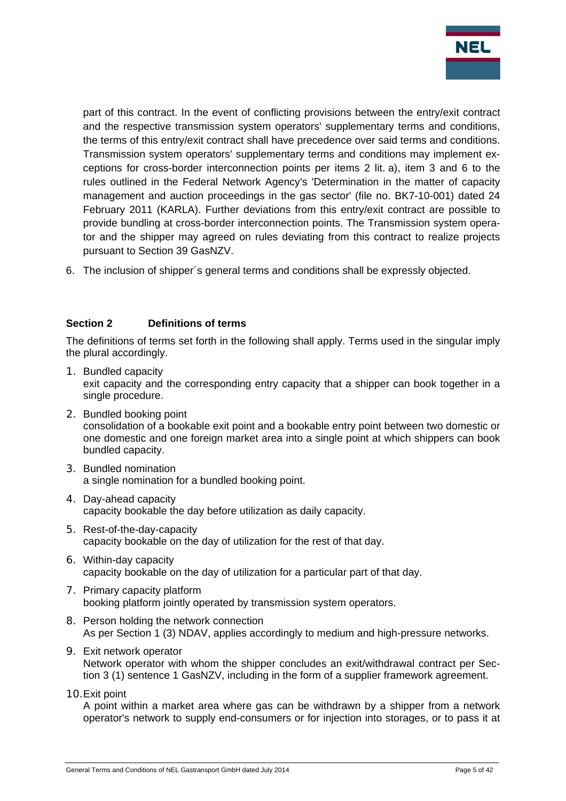

part of this contract. In the event of conflicting provisions between the entry/exit contract and the respective transmission system operators' supplementary terms and conditions, the terms of this entry/exit contract shall have precedence over said terms and conditions. Transmission system operators' supplementary terms and conditions may implement exceptions for cross-border interconnection points per items 2 lit. a), item 3 and 6 to the rules outlined in the Federal Network Agency's 'Determination in the matter of capacity management and auction proceedings in the gas sector' (file no. BK7-10-001) dated 24 February 2011 (KARLA). Further deviations from this entry/exit contract are possible to provide bundling at cross-border interconnection points. The Transmission system operator and the shipper may agreed on rules deviating from this contract to realize projects pursuant to Section 39 GasNZV.

6. The inclusion of shipper´s general terms and conditions shall be expressly objected.

## **Section 2 Definitions of terms**

The definitions of terms set forth in the following shall apply. Terms used in the singular imply the plural accordingly.

- 1. Bundled capacity exit capacity and the corresponding entry capacity that a shipper can book together in a single procedure.
- 2. Bundled booking point consolidation of a bookable exit point and a bookable entry point between two domestic or one domestic and one foreign market area into a single point at which shippers can book bundled capacity.
- 3. Bundled nomination a single nomination for a bundled booking point.
- 4. Day-ahead capacity capacity bookable the day before utilization as daily capacity.
- 5. Rest-of-the-day-capacity capacity bookable on the day of utilization for the rest of that day.
- 6. Within-day capacity capacity bookable on the day of utilization for a particular part of that day.
- 7. Primary capacity platform booking platform jointly operated by transmission system operators.
- 8. Person holding the network connection As per Section 1 (3) NDAV, applies accordingly to medium and high-pressure networks.
- 9. Exit network operator Network operator with whom the shipper concludes an exit/withdrawal contract per Section 3 (1) sentence 1 GasNZV, including in the form of a supplier framework agreement.
- 10.Exit point

A point within a market area where gas can be withdrawn by a shipper from a network operator's network to supply end-consumers or for injection into storages, or to pass it at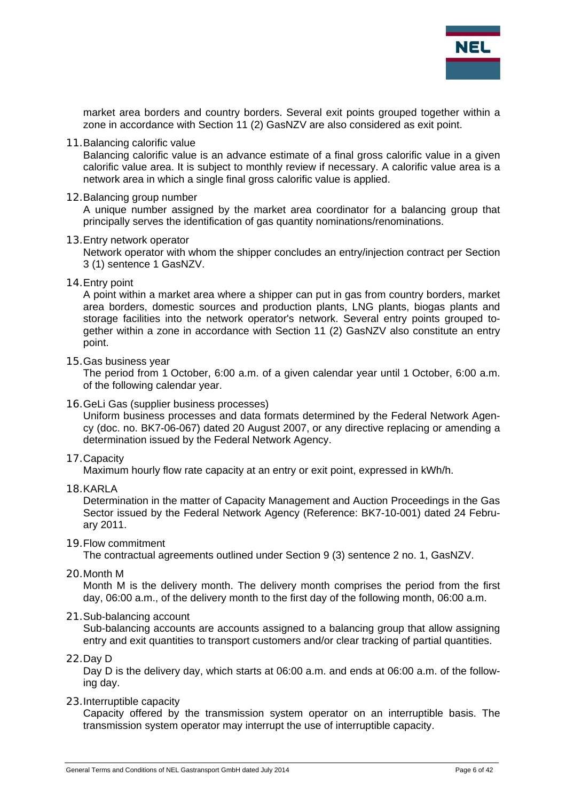

market area borders and country borders. Several exit points grouped together within a zone in accordance with Section 11 (2) GasNZV are also considered as exit point.

11.Balancing calorific value

Balancing calorific value is an advance estimate of a final gross calorific value in a given calorific value area. It is subject to monthly review if necessary. A calorific value area is a network area in which a single final gross calorific value is applied.

12.Balancing group number

A unique number assigned by the market area coordinator for a balancing group that principally serves the identification of gas quantity nominations/renominations.

13.Entry network operator

Network operator with whom the shipper concludes an entry/injection contract per Section 3 (1) sentence 1 GasNZV.

14.Entry point

A point within a market area where a shipper can put in gas from country borders, market area borders, domestic sources and production plants, LNG plants, biogas plants and storage facilities into the network operator's network. Several entry points grouped together within a zone in accordance with Section 11 (2) GasNZV also constitute an entry point.

15.Gas business year

The period from 1 October, 6:00 a.m. of a given calendar year until 1 October, 6:00 a.m. of the following calendar year.

16.GeLi Gas (supplier business processes)

Uniform business processes and data formats determined by the Federal Network Agency (doc. no. BK7-06-067) dated 20 August 2007, or any directive replacing or amending a determination issued by the Federal Network Agency.

17.Capacity

Maximum hourly flow rate capacity at an entry or exit point, expressed in kWh/h.

18.KARLA

Determination in the matter of Capacity Management and Auction Proceedings in the Gas Sector issued by the Federal Network Agency (Reference: BK7-10-001) dated 24 February 2011.

19.Flow commitment

The contractual agreements outlined under Section 9 (3) sentence 2 no. 1, GasNZV.

20.Month M

Month M is the delivery month. The delivery month comprises the period from the first day, 06:00 a.m., of the delivery month to the first day of the following month, 06:00 a.m.

21.Sub-balancing account

Sub-balancing accounts are accounts assigned to a balancing group that allow assigning entry and exit quantities to transport customers and/or clear tracking of partial quantities.

22.Day D

Day D is the delivery day, which starts at 06:00 a.m. and ends at 06:00 a.m. of the following day.

23.Interruptible capacity

Capacity offered by the transmission system operator on an interruptible basis. The transmission system operator may interrupt the use of interruptible capacity.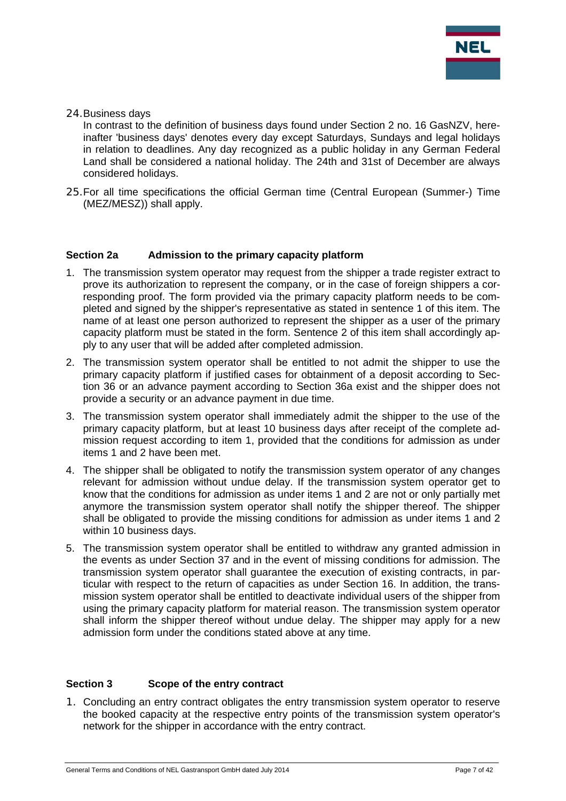

24.Business days

In contrast to the definition of business days found under Section 2 no. 16 GasNZV, hereinafter 'business days' denotes every day except Saturdays, Sundays and legal holidays in relation to deadlines. Any day recognized as a public holiday in any German Federal Land shall be considered a national holiday. The 24th and 31st of December are always considered holidays.

25.For all time specifications the official German time (Central European (Summer-) Time (MEZ/MESZ)) shall apply.

#### **Section 2a Admission to the primary capacity platform**

- 1. The transmission system operator may request from the shipper a trade register extract to prove its authorization to represent the company, or in the case of foreign shippers a corresponding proof. The form provided via the primary capacity platform needs to be completed and signed by the shipper's representative as stated in sentence 1 of this item. The name of at least one person authorized to represent the shipper as a user of the primary capacity platform must be stated in the form. Sentence 2 of this item shall accordingly apply to any user that will be added after completed admission.
- 2. The transmission system operator shall be entitled to not admit the shipper to use the primary capacity platform if justified cases for obtainment of a deposit according to Section 36 or an advance payment according to Section 36a exist and the shipper does not provide a security or an advance payment in due time.
- 3. The transmission system operator shall immediately admit the shipper to the use of the primary capacity platform, but at least 10 business days after receipt of the complete admission request according to item 1, provided that the conditions for admission as under items 1 and 2 have been met.
- 4. The shipper shall be obligated to notify the transmission system operator of any changes relevant for admission without undue delay. If the transmission system operator get to know that the conditions for admission as under items 1 and 2 are not or only partially met anymore the transmission system operator shall notify the shipper thereof. The shipper shall be obligated to provide the missing conditions for admission as under items 1 and 2 within 10 business days.
- 5. The transmission system operator shall be entitled to withdraw any granted admission in the events as under Section 37 and in the event of missing conditions for admission. The transmission system operator shall guarantee the execution of existing contracts, in particular with respect to the return of capacities as under Section 16. In addition, the transmission system operator shall be entitled to deactivate individual users of the shipper from using the primary capacity platform for material reason. The transmission system operator shall inform the shipper thereof without undue delay. The shipper may apply for a new admission form under the conditions stated above at any time.

#### **Section 3 Scope of the entry contract**

1. Concluding an entry contract obligates the entry transmission system operator to reserve the booked capacity at the respective entry points of the transmission system operator's network for the shipper in accordance with the entry contract.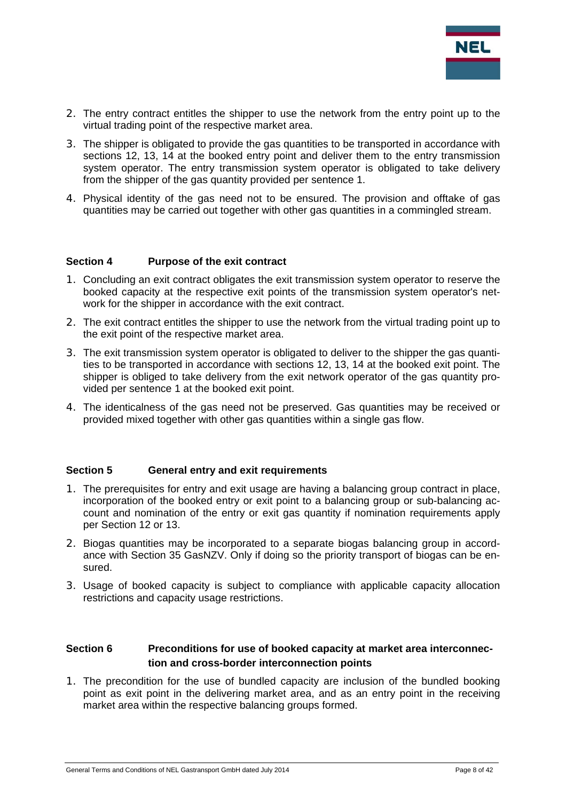

- 2. The entry contract entitles the shipper to use the network from the entry point up to the virtual trading point of the respective market area.
- 3. The shipper is obligated to provide the gas quantities to be transported in accordance with sections 12, 13, 14 at the booked entry point and deliver them to the entry transmission system operator. The entry transmission system operator is obligated to take delivery from the shipper of the gas quantity provided per sentence 1.
- 4. Physical identity of the gas need not to be ensured. The provision and offtake of gas quantities may be carried out together with other gas quantities in a commingled stream.

#### **Section 4 Purpose of the exit contract**

- 1. Concluding an exit contract obligates the exit transmission system operator to reserve the booked capacity at the respective exit points of the transmission system operator's network for the shipper in accordance with the exit contract.
- 2. The exit contract entitles the shipper to use the network from the virtual trading point up to the exit point of the respective market area.
- 3. The exit transmission system operator is obligated to deliver to the shipper the gas quantities to be transported in accordance with sections 12, 13, 14 at the booked exit point. The shipper is obliged to take delivery from the exit network operator of the gas quantity provided per sentence 1 at the booked exit point.
- 4. The identicalness of the gas need not be preserved. Gas quantities may be received or provided mixed together with other gas quantities within a single gas flow.

#### **Section 5 General entry and exit requirements**

- 1. The prerequisites for entry and exit usage are having a balancing group contract in place, incorporation of the booked entry or exit point to a balancing group or sub-balancing account and nomination of the entry or exit gas quantity if nomination requirements apply per Section 12 or 13.
- 2. Biogas quantities may be incorporated to a separate biogas balancing group in accordance with Section 35 GasNZV. Only if doing so the priority transport of biogas can be ensured.
- 3. Usage of booked capacity is subject to compliance with applicable capacity allocation restrictions and capacity usage restrictions.

#### Section 6 **Preconditions for use of booked capacity at market area interconnection and cross-border interconnection points**

1. The precondition for the use of bundled capacity are inclusion of the bundled booking point as exit point in the delivering market area, and as an entry point in the receiving market area within the respective balancing groups formed.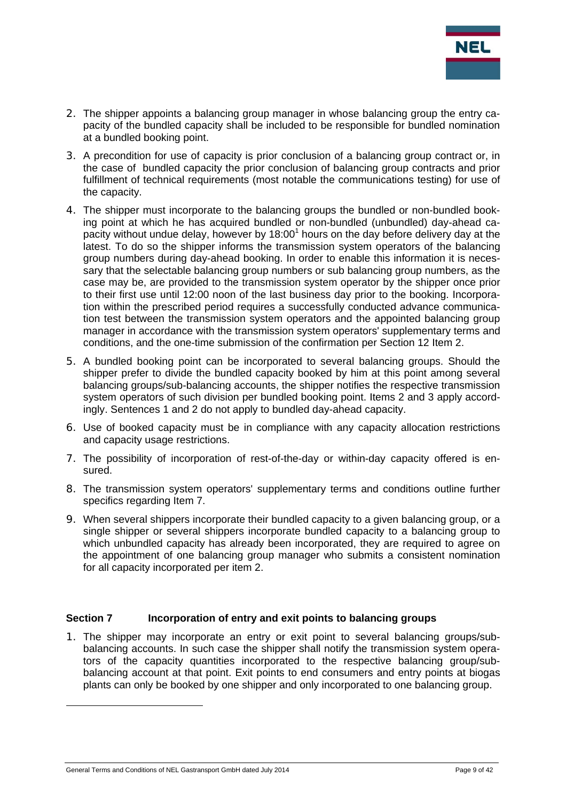

- 2. The shipper appoints a balancing group manager in whose balancing group the entry capacity of the bundled capacity shall be included to be responsible for bundled nomination at a bundled booking point.
- 3. A precondition for use of capacity is prior conclusion of a balancing group contract or, in the case of bundled capacity the prior conclusion of balancing group contracts and prior fulfillment of technical requirements (most notable the communications testing) for use of the capacity.
- 4. The shipper must incorporate to the balancing groups the bundled or non-bundled booking point at which he has acquired bundled or non-bundled (unbundled) day-ahead capacity without undue delay, however by 18:00<sup>1</sup> hours on the day before delivery day at the latest. To do so the shipper informs the transmission system operators of the balancing group numbers during day-ahead booking. In order to enable this information it is necessary that the selectable balancing group numbers or sub balancing group numbers, as the case may be, are provided to the transmission system operator by the shipper once prior to their first use until 12:00 noon of the last business day prior to the booking. Incorporation within the prescribed period requires a successfully conducted advance communication test between the transmission system operators and the appointed balancing group manager in accordance with the transmission system operators' supplementary terms and conditions, and the one-time submission of the confirmation per Section 12 Item 2.
- 5. A bundled booking point can be incorporated to several balancing groups. Should the shipper prefer to divide the bundled capacity booked by him at this point among several balancing groups/sub-balancing accounts, the shipper notifies the respective transmission system operators of such division per bundled booking point. Items 2 and 3 apply accordingly. Sentences 1 and 2 do not apply to bundled day-ahead capacity.
- 6. Use of booked capacity must be in compliance with any capacity allocation restrictions and capacity usage restrictions.
- 7. The possibility of incorporation of rest-of-the-day or within-day capacity offered is ensured.
- 8. The transmission system operators' supplementary terms and conditions outline further specifics regarding Item 7.
- 9. When several shippers incorporate their bundled capacity to a given balancing group, or a single shipper or several shippers incorporate bundled capacity to a balancing group to which unbundled capacity has already been incorporated, they are required to agree on the appointment of one balancing group manager who submits a consistent nomination for all capacity incorporated per item 2.

#### **Section 7** Incorporation of entry and exit points to balancing groups

1. The shipper may incorporate an entry or exit point to several balancing groups/subbalancing accounts. In such case the shipper shall notify the transmission system operators of the capacity quantities incorporated to the respective balancing group/subbalancing account at that point. Exit points to end consumers and entry points at biogas plants can only be booked by one shipper and only incorporated to one balancing group.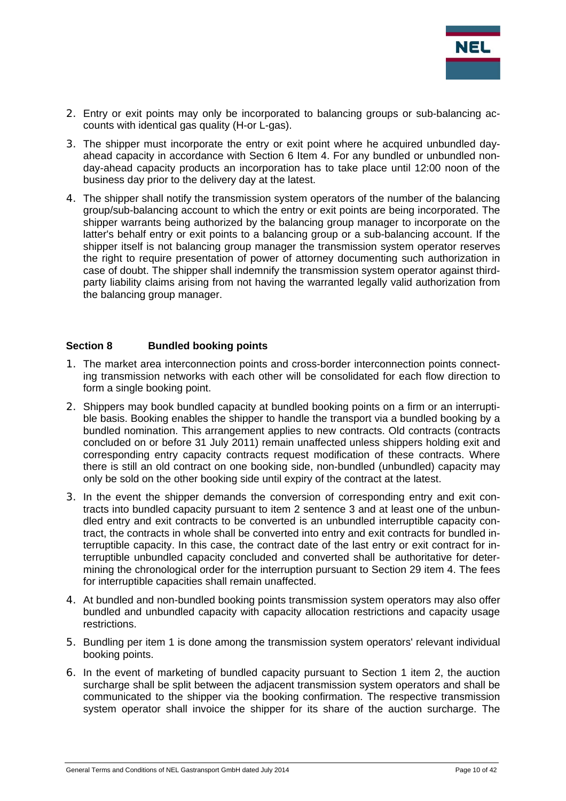

- 2. Entry or exit points may only be incorporated to balancing groups or sub-balancing accounts with identical gas quality (H-or L-gas).
- 3. The shipper must incorporate the entry or exit point where he acquired unbundled dayahead capacity in accordance with Section 6 Item 4. For any bundled or unbundled nonday-ahead capacity products an incorporation has to take place until 12:00 noon of the business day prior to the delivery day at the latest.
- 4. The shipper shall notify the transmission system operators of the number of the balancing group/sub-balancing account to which the entry or exit points are being incorporated. The shipper warrants being authorized by the balancing group manager to incorporate on the latter's behalf entry or exit points to a balancing group or a sub-balancing account. If the shipper itself is not balancing group manager the transmission system operator reserves the right to require presentation of power of attorney documenting such authorization in case of doubt. The shipper shall indemnify the transmission system operator against thirdparty liability claims arising from not having the warranted legally valid authorization from the balancing group manager.

#### **Section 8 Bundled booking points**

- 1. The market area interconnection points and cross-border interconnection points connecting transmission networks with each other will be consolidated for each flow direction to form a single booking point.
- 2. Shippers may book bundled capacity at bundled booking points on a firm or an interruptible basis. Booking enables the shipper to handle the transport via a bundled booking by a bundled nomination. This arrangement applies to new contracts. Old contracts (contracts concluded on or before 31 July 2011) remain unaffected unless shippers holding exit and corresponding entry capacity contracts request modification of these contracts. Where there is still an old contract on one booking side, non-bundled (unbundled) capacity may only be sold on the other booking side until expiry of the contract at the latest.
- 3. In the event the shipper demands the conversion of corresponding entry and exit contracts into bundled capacity pursuant to item 2 sentence 3 and at least one of the unbundled entry and exit contracts to be converted is an unbundled interruptible capacity contract, the contracts in whole shall be converted into entry and exit contracts for bundled interruptible capacity. In this case, the contract date of the last entry or exit contract for interruptible unbundled capacity concluded and converted shall be authoritative for determining the chronological order for the interruption pursuant to Section 29 item 4. The fees for interruptible capacities shall remain unaffected.
- 4. At bundled and non-bundled booking points transmission system operators may also offer bundled and unbundled capacity with capacity allocation restrictions and capacity usage restrictions.
- 5. Bundling per item 1 is done among the transmission system operators' relevant individual booking points.
- 6. In the event of marketing of bundled capacity pursuant to Section 1 item 2, the auction surcharge shall be split between the adjacent transmission system operators and shall be communicated to the shipper via the booking confirmation. The respective transmission system operator shall invoice the shipper for its share of the auction surcharge. The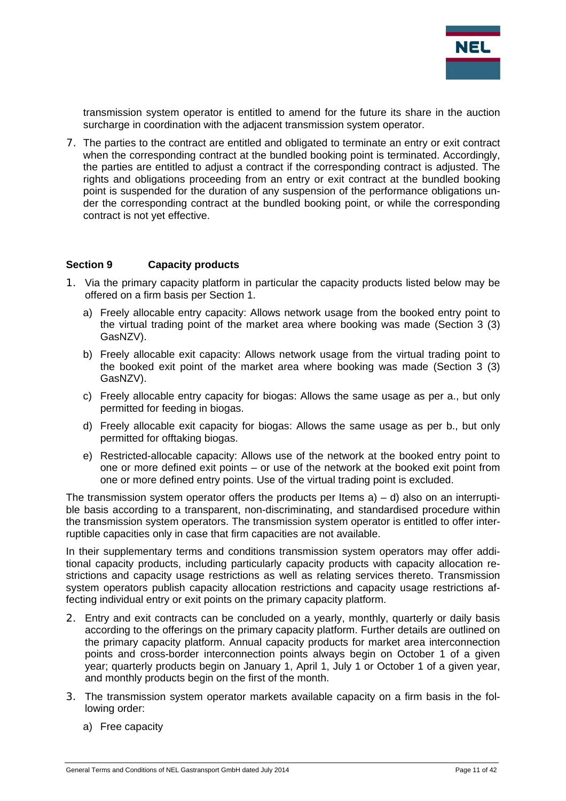

transmission system operator is entitled to amend for the future its share in the auction surcharge in coordination with the adjacent transmission system operator.

7. The parties to the contract are entitled and obligated to terminate an entry or exit contract when the corresponding contract at the bundled booking point is terminated. Accordingly, the parties are entitled to adjust a contract if the corresponding contract is adjusted. The rights and obligations proceeding from an entry or exit contract at the bundled booking point is suspended for the duration of any suspension of the performance obligations under the corresponding contract at the bundled booking point, or while the corresponding contract is not yet effective.

#### **Section 9 Capacity products**

- 1. Via the primary capacity platform in particular the capacity products listed below may be offered on a firm basis per Section 1.
	- a) Freely allocable entry capacity: Allows network usage from the booked entry point to the virtual trading point of the market area where booking was made (Section 3 (3) GasNZV).
	- b) Freely allocable exit capacity: Allows network usage from the virtual trading point to the booked exit point of the market area where booking was made (Section 3 (3) GasNZV).
	- c) Freely allocable entry capacity for biogas: Allows the same usage as per a., but only permitted for feeding in biogas.
	- d) Freely allocable exit capacity for biogas: Allows the same usage as per b., but only permitted for offtaking biogas.
	- e) Restricted-allocable capacity: Allows use of the network at the booked entry point to one or more defined exit points – or use of the network at the booked exit point from one or more defined entry points. Use of the virtual trading point is excluded.

The transmission system operator offers the products per Items  $a$ ) – d) also on an interruptible basis according to a transparent, non-discriminating, and standardised procedure within the transmission system operators. The transmission system operator is entitled to offer interruptible capacities only in case that firm capacities are not available.

In their supplementary terms and conditions transmission system operators may offer additional capacity products, including particularly capacity products with capacity allocation restrictions and capacity usage restrictions as well as relating services thereto. Transmission system operators publish capacity allocation restrictions and capacity usage restrictions affecting individual entry or exit points on the primary capacity platform.

- 2. Entry and exit contracts can be concluded on a yearly, monthly, quarterly or daily basis according to the offerings on the primary capacity platform. Further details are outlined on the primary capacity platform. Annual capacity products for market area interconnection points and cross-border interconnection points always begin on October 1 of a given year; quarterly products begin on January 1, April 1, July 1 or October 1 of a given year, and monthly products begin on the first of the month.
- 3. The transmission system operator markets available capacity on a firm basis in the following order:
	- a) Free capacity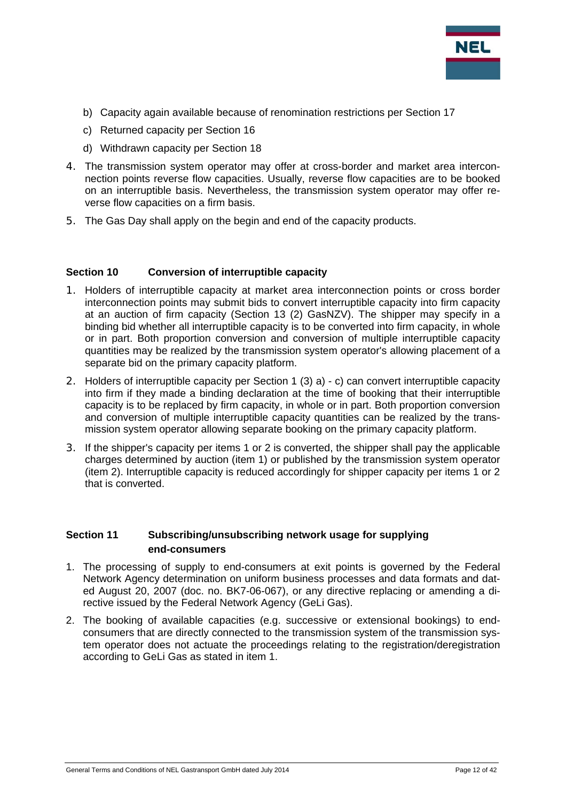

- b) Capacity again available because of renomination restrictions per Section 17
- c) Returned capacity per Section 16
- d) Withdrawn capacity per Section 18
- 4. The transmission system operator may offer at cross-border and market area interconnection points reverse flow capacities. Usually, reverse flow capacities are to be booked on an interruptible basis. Nevertheless, the transmission system operator may offer reverse flow capacities on a firm basis.
- 5. The Gas Day shall apply on the begin and end of the capacity products.

#### **Section 10 Conversion of interruptible capacity**

- 1. Holders of interruptible capacity at market area interconnection points or cross border interconnection points may submit bids to convert interruptible capacity into firm capacity at an auction of firm capacity (Section 13 (2) GasNZV). The shipper may specify in a binding bid whether all interruptible capacity is to be converted into firm capacity, in whole or in part. Both proportion conversion and conversion of multiple interruptible capacity quantities may be realized by the transmission system operator's allowing placement of a separate bid on the primary capacity platform.
- 2. Holders of interruptible capacity per Section 1 (3) a) c) can convert interruptible capacity into firm if they made a binding declaration at the time of booking that their interruptible capacity is to be replaced by firm capacity, in whole or in part. Both proportion conversion and conversion of multiple interruptible capacity quantities can be realized by the transmission system operator allowing separate booking on the primary capacity platform.
- 3. If the shipper's capacity per items 1 or 2 is converted, the shipper shall pay the applicable charges determined by auction (item 1) or published by the transmission system operator (item 2). Interruptible capacity is reduced accordingly for shipper capacity per items 1 or 2 that is converted.

#### **Section 11 Subscribing/unsubscribing network usage for supplying end-consumers**

- 1. The processing of supply to end-consumers at exit points is governed by the Federal Network Agency determination on uniform business processes and data formats and dated August 20, 2007 (doc. no. BK7-06-067), or any directive replacing or amending a directive issued by the Federal Network Agency (GeLi Gas).
- 2. The booking of available capacities (e.g. successive or extensional bookings) to endconsumers that are directly connected to the transmission system of the transmission system operator does not actuate the proceedings relating to the registration/deregistration according to GeLi Gas as stated in item 1.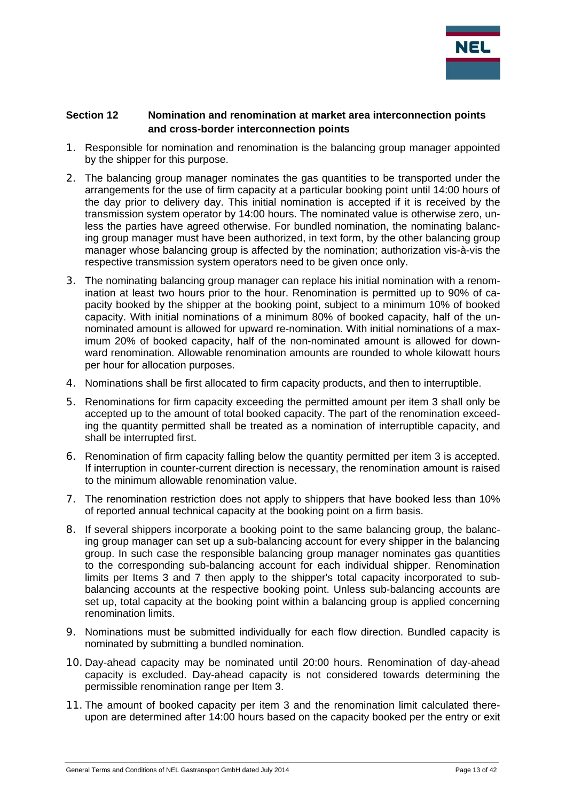

## **Section 12 Nomination and renomination at market area interconnection points and cross-border interconnection points**

- 1. Responsible for nomination and renomination is the balancing group manager appointed by the shipper for this purpose.
- 2. The balancing group manager nominates the gas quantities to be transported under the arrangements for the use of firm capacity at a particular booking point until 14:00 hours of the day prior to delivery day. This initial nomination is accepted if it is received by the transmission system operator by 14:00 hours. The nominated value is otherwise zero, unless the parties have agreed otherwise. For bundled nomination, the nominating balancing group manager must have been authorized, in text form, by the other balancing group manager whose balancing group is affected by the nomination; authorization vis-à-vis the respective transmission system operators need to be given once only.
- 3. The nominating balancing group manager can replace his initial nomination with a renomination at least two hours prior to the hour. Renomination is permitted up to 90% of capacity booked by the shipper at the booking point, subject to a minimum 10% of booked capacity. With initial nominations of a minimum 80% of booked capacity, half of the unnominated amount is allowed for upward re-nomination. With initial nominations of a maximum 20% of booked capacity, half of the non-nominated amount is allowed for downward renomination. Allowable renomination amounts are rounded to whole kilowatt hours per hour for allocation purposes.
- 4. Nominations shall be first allocated to firm capacity products, and then to interruptible.
- 5. Renominations for firm capacity exceeding the permitted amount per item 3 shall only be accepted up to the amount of total booked capacity. The part of the renomination exceeding the quantity permitted shall be treated as a nomination of interruptible capacity, and shall be interrupted first.
- 6. Renomination of firm capacity falling below the quantity permitted per item 3 is accepted. If interruption in counter-current direction is necessary, the renomination amount is raised to the minimum allowable renomination value.
- 7. The renomination restriction does not apply to shippers that have booked less than 10% of reported annual technical capacity at the booking point on a firm basis.
- 8. If several shippers incorporate a booking point to the same balancing group, the balancing group manager can set up a sub-balancing account for every shipper in the balancing group. In such case the responsible balancing group manager nominates gas quantities to the corresponding sub-balancing account for each individual shipper. Renomination limits per Items 3 and 7 then apply to the shipper's total capacity incorporated to subbalancing accounts at the respective booking point. Unless sub-balancing accounts are set up, total capacity at the booking point within a balancing group is applied concerning renomination limits.
- 9. Nominations must be submitted individually for each flow direction. Bundled capacity is nominated by submitting a bundled nomination.
- 10. Day-ahead capacity may be nominated until 20:00 hours. Renomination of day-ahead capacity is excluded. Day-ahead capacity is not considered towards determining the permissible renomination range per Item 3.
- 11. The amount of booked capacity per item 3 and the renomination limit calculated thereupon are determined after 14:00 hours based on the capacity booked per the entry or exit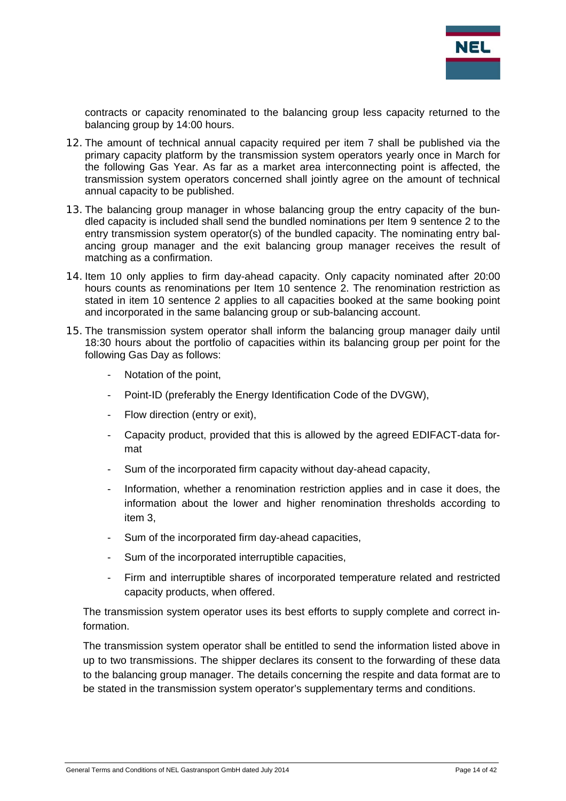

contracts or capacity renominated to the balancing group less capacity returned to the balancing group by 14:00 hours.

- 12. The amount of technical annual capacity required per item 7 shall be published via the primary capacity platform by the transmission system operators yearly once in March for the following Gas Year. As far as a market area interconnecting point is affected, the transmission system operators concerned shall jointly agree on the amount of technical annual capacity to be published.
- 13. The balancing group manager in whose balancing group the entry capacity of the bundled capacity is included shall send the bundled nominations per Item 9 sentence 2 to the entry transmission system operator(s) of the bundled capacity. The nominating entry balancing group manager and the exit balancing group manager receives the result of matching as a confirmation.
- 14. Item 10 only applies to firm day-ahead capacity. Only capacity nominated after 20:00 hours counts as renominations per Item 10 sentence 2. The renomination restriction as stated in item 10 sentence 2 applies to all capacities booked at the same booking point and incorporated in the same balancing group or sub-balancing account.
- 15. The transmission system operator shall inform the balancing group manager daily until 18:30 hours about the portfolio of capacities within its balancing group per point for the following Gas Day as follows:
	- Notation of the point,
	- Point-ID (preferably the Energy Identification Code of the DVGW),
	- Flow direction (entry or exit),
	- Capacity product, provided that this is allowed by the agreed EDIFACT-data format
	- Sum of the incorporated firm capacity without day-ahead capacity,
	- Information, whether a renomination restriction applies and in case it does, the information about the lower and higher renomination thresholds according to item 3,
	- Sum of the incorporated firm day-ahead capacities,
	- Sum of the incorporated interruptible capacities,
	- Firm and interruptible shares of incorporated temperature related and restricted capacity products, when offered.

The transmission system operator uses its best efforts to supply complete and correct information.

The transmission system operator shall be entitled to send the information listed above in up to two transmissions. The shipper declares its consent to the forwarding of these data to the balancing group manager. The details concerning the respite and data format are to be stated in the transmission system operator's supplementary terms and conditions.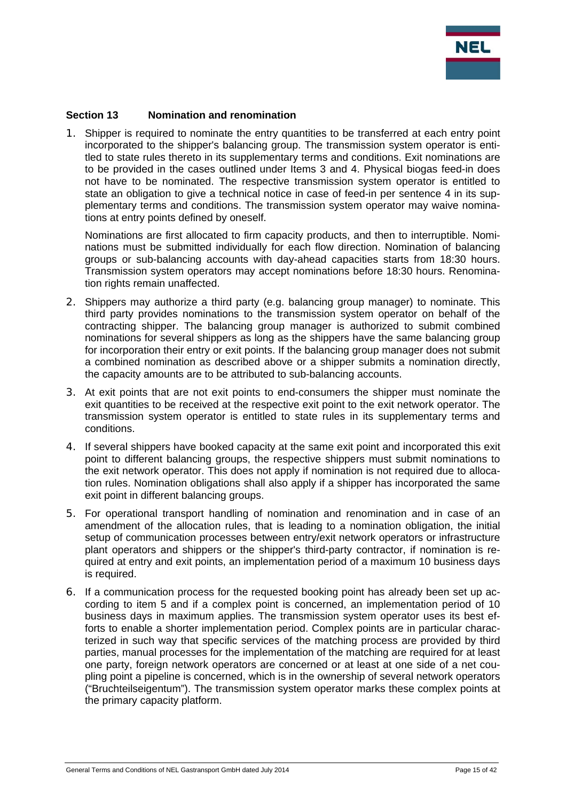

#### **Section 13 Nomination and renomination**

1. Shipper is required to nominate the entry quantities to be transferred at each entry point incorporated to the shipper's balancing group. The transmission system operator is entitled to state rules thereto in its supplementary terms and conditions. Exit nominations are to be provided in the cases outlined under Items 3 and 4. Physical biogas feed-in does not have to be nominated. The respective transmission system operator is entitled to state an obligation to give a technical notice in case of feed-in per sentence 4 in its supplementary terms and conditions. The transmission system operator may waive nominations at entry points defined by oneself.

Nominations are first allocated to firm capacity products, and then to interruptible. Nominations must be submitted individually for each flow direction. Nomination of balancing groups or sub-balancing accounts with day-ahead capacities starts from 18:30 hours. Transmission system operators may accept nominations before 18:30 hours. Renomination rights remain unaffected.

- 2. Shippers may authorize a third party (e.g. balancing group manager) to nominate. This third party provides nominations to the transmission system operator on behalf of the contracting shipper. The balancing group manager is authorized to submit combined nominations for several shippers as long as the shippers have the same balancing group for incorporation their entry or exit points. If the balancing group manager does not submit a combined nomination as described above or a shipper submits a nomination directly, the capacity amounts are to be attributed to sub-balancing accounts.
- 3. At exit points that are not exit points to end-consumers the shipper must nominate the exit quantities to be received at the respective exit point to the exit network operator. The transmission system operator is entitled to state rules in its supplementary terms and conditions.
- 4. If several shippers have booked capacity at the same exit point and incorporated this exit point to different balancing groups, the respective shippers must submit nominations to the exit network operator. This does not apply if nomination is not required due to allocation rules. Nomination obligations shall also apply if a shipper has incorporated the same exit point in different balancing groups.
- 5. For operational transport handling of nomination and renomination and in case of an amendment of the allocation rules, that is leading to a nomination obligation, the initial setup of communication processes between entry/exit network operators or infrastructure plant operators and shippers or the shipper's third-party contractor, if nomination is required at entry and exit points, an implementation period of a maximum 10 business days is required.
- 6. If a communication process for the requested booking point has already been set up according to item 5 and if a complex point is concerned, an implementation period of 10 business days in maximum applies. The transmission system operator uses its best efforts to enable a shorter implementation period. Complex points are in particular characterized in such way that specific services of the matching process are provided by third parties, manual processes for the implementation of the matching are required for at least one party, foreign network operators are concerned or at least at one side of a net coupling point a pipeline is concerned, which is in the ownership of several network operators ("Bruchteilseigentum"). The transmission system operator marks these complex points at the primary capacity platform.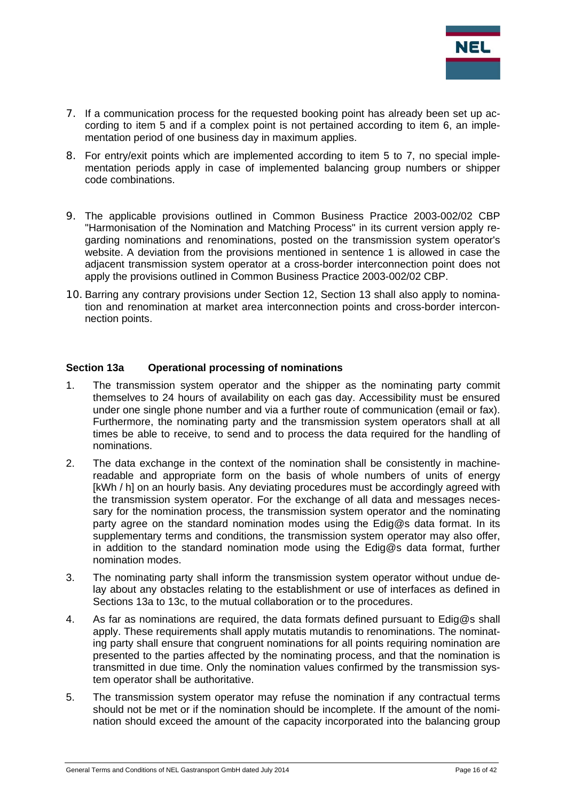

- 7. If a communication process for the requested booking point has already been set up according to item 5 and if a complex point is not pertained according to item 6, an implementation period of one business day in maximum applies.
- 8. For entry/exit points which are implemented according to item 5 to 7, no special implementation periods apply in case of implemented balancing group numbers or shipper code combinations.
- 9. The applicable provisions outlined in Common Business Practice 2003-002/02 CBP "Harmonisation of the Nomination and Matching Process" in its current version apply regarding nominations and renominations, posted on the transmission system operator's website. A deviation from the provisions mentioned in sentence 1 is allowed in case the adjacent transmission system operator at a cross-border interconnection point does not apply the provisions outlined in Common Business Practice 2003-002/02 CBP.
- 10. Barring any contrary provisions under Section 12, Section 13 shall also apply to nomination and renomination at market area interconnection points and cross-border interconnection points.

#### **Section 13a Operational processing of nominations**

- 1. The transmission system operator and the shipper as the nominating party commit themselves to 24 hours of availability on each gas day. Accessibility must be ensured under one single phone number and via a further route of communication (email or fax). Furthermore, the nominating party and the transmission system operators shall at all times be able to receive, to send and to process the data required for the handling of nominations.
- 2. The data exchange in the context of the nomination shall be consistently in machinereadable and appropriate form on the basis of whole numbers of units of energy [kWh / h] on an hourly basis. Any deviating procedures must be accordingly agreed with the transmission system operator. For the exchange of all data and messages necessary for the nomination process, the transmission system operator and the nominating party agree on the standard nomination modes using the Edig@s data format. In its supplementary terms and conditions, the transmission system operator may also offer, in addition to the standard nomination mode using the Edig@s data format, further nomination modes.
- 3. The nominating party shall inform the transmission system operator without undue delay about any obstacles relating to the establishment or use of interfaces as defined in Sections 13a to 13c, to the mutual collaboration or to the procedures.
- 4. As far as nominations are required, the data formats defined pursuant to Edig@s shall apply. These requirements shall apply mutatis mutandis to renominations. The nominating party shall ensure that congruent nominations for all points requiring nomination are presented to the parties affected by the nominating process, and that the nomination is transmitted in due time. Only the nomination values confirmed by the transmission system operator shall be authoritative.
- 5. The transmission system operator may refuse the nomination if any contractual terms should not be met or if the nomination should be incomplete. If the amount of the nomination should exceed the amount of the capacity incorporated into the balancing group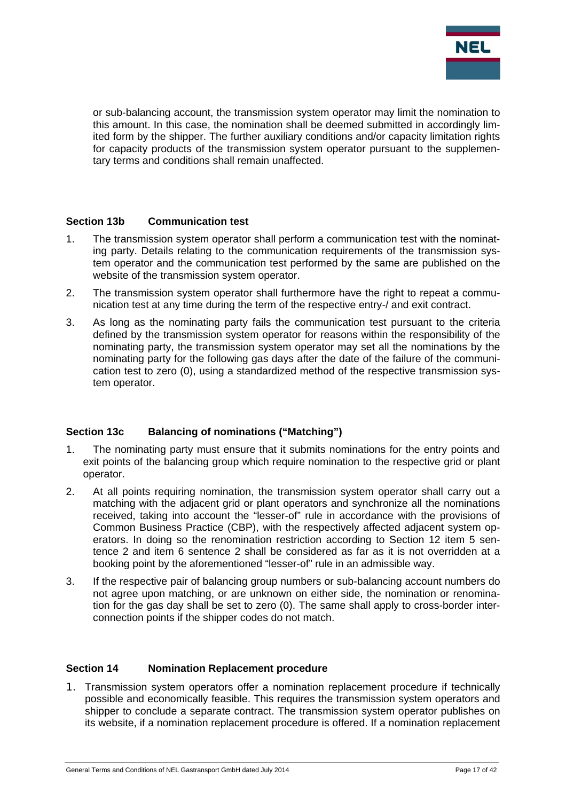

or sub-balancing account, the transmission system operator may limit the nomination to this amount. In this case, the nomination shall be deemed submitted in accordingly limited form by the shipper. The further auxiliary conditions and/or capacity limitation rights for capacity products of the transmission system operator pursuant to the supplementary terms and conditions shall remain unaffected.

#### **Section 13b Communication test**

- 1. The transmission system operator shall perform a communication test with the nominating party. Details relating to the communication requirements of the transmission system operator and the communication test performed by the same are published on the website of the transmission system operator.
- 2. The transmission system operator shall furthermore have the right to repeat a communication test at any time during the term of the respective entry-/ and exit contract.
- 3. As long as the nominating party fails the communication test pursuant to the criteria defined by the transmission system operator for reasons within the responsibility of the nominating party, the transmission system operator may set all the nominations by the nominating party for the following gas days after the date of the failure of the communication test to zero (0), using a standardized method of the respective transmission system operator.

#### **Section 13c Balancing of nominations ("Matching")**

- 1. The nominating party must ensure that it submits nominations for the entry points and exit points of the balancing group which require nomination to the respective grid or plant operator.
- 2. At all points requiring nomination, the transmission system operator shall carry out a matching with the adjacent grid or plant operators and synchronize all the nominations received, taking into account the "lesser-of" rule in accordance with the provisions of Common Business Practice (CBP), with the respectively affected adjacent system operators. In doing so the renomination restriction according to Section 12 item 5 sentence 2 and item 6 sentence 2 shall be considered as far as it is not overridden at a booking point by the aforementioned "lesser-of" rule in an admissible way.
- 3. If the respective pair of balancing group numbers or sub-balancing account numbers do not agree upon matching, or are unknown on either side, the nomination or renomination for the gas day shall be set to zero (0). The same shall apply to cross-border interconnection points if the shipper codes do not match.

#### **Section 14 Nomination Replacement procedure**

1. Transmission system operators offer a nomination replacement procedure if technically possible and economically feasible. This requires the transmission system operators and shipper to conclude a separate contract. The transmission system operator publishes on its website, if a nomination replacement procedure is offered. If a nomination replacement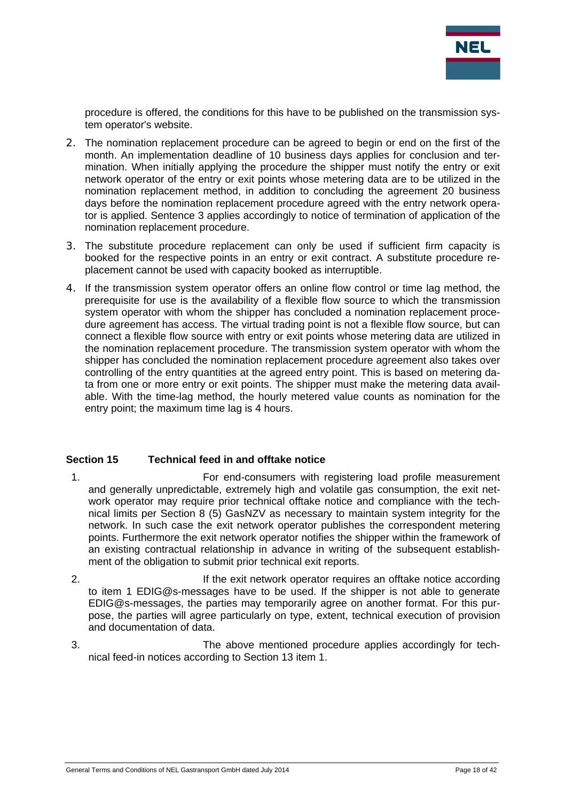

procedure is offered, the conditions for this have to be published on the transmission system operator's website.

- 2. The nomination replacement procedure can be agreed to begin or end on the first of the month. An implementation deadline of 10 business days applies for conclusion and termination. When initially applying the procedure the shipper must notify the entry or exit network operator of the entry or exit points whose metering data are to be utilized in the nomination replacement method, in addition to concluding the agreement 20 business days before the nomination replacement procedure agreed with the entry network operator is applied. Sentence 3 applies accordingly to notice of termination of application of the nomination replacement procedure.
- 3. The substitute procedure replacement can only be used if sufficient firm capacity is booked for the respective points in an entry or exit contract. A substitute procedure replacement cannot be used with capacity booked as interruptible.
- 4. If the transmission system operator offers an online flow control or time lag method, the prerequisite for use is the availability of a flexible flow source to which the transmission system operator with whom the shipper has concluded a nomination replacement procedure agreement has access. The virtual trading point is not a flexible flow source, but can connect a flexible flow source with entry or exit points whose metering data are utilized in the nomination replacement procedure. The transmission system operator with whom the shipper has concluded the nomination replacement procedure agreement also takes over controlling of the entry quantities at the agreed entry point. This is based on metering data from one or more entry or exit points. The shipper must make the metering data available. With the time-lag method, the hourly metered value counts as nomination for the entry point; the maximum time lag is 4 hours.

#### **Section 15 Technical feed in and offtake notice**

- 1. For end-consumers with registering load profile measurement and generally unpredictable, extremely high and volatile gas consumption, the exit network operator may require prior technical offtake notice and compliance with the technical limits per Section 8 (5) GasNZV as necessary to maintain system integrity for the network. In such case the exit network operator publishes the correspondent metering points. Furthermore the exit network operator notifies the shipper within the framework of an existing contractual relationship in advance in writing of the subsequent establishment of the obligation to submit prior technical exit reports.
- 2. If the exit network operator requires an offtake notice according to item 1 EDIG@s-messages have to be used. If the shipper is not able to generate EDIG@s-messages, the parties may temporarily agree on another format. For this purpose, the parties will agree particularly on type, extent, technical execution of provision and documentation of data.
- 3. The above mentioned procedure applies accordingly for technical feed-in notices according to Section 13 item 1.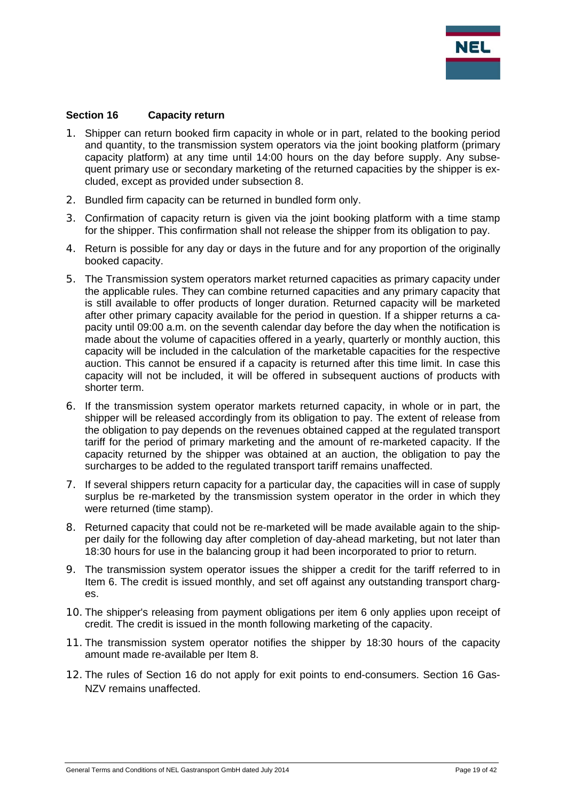

#### **Section 16 Capacity return**

- 1. Shipper can return booked firm capacity in whole or in part, related to the booking period and quantity, to the transmission system operators via the joint booking platform (primary capacity platform) at any time until 14:00 hours on the day before supply. Any subsequent primary use or secondary marketing of the returned capacities by the shipper is excluded, except as provided under subsection 8.
- 2. Bundled firm capacity can be returned in bundled form only.
- 3. Confirmation of capacity return is given via the joint booking platform with a time stamp for the shipper. This confirmation shall not release the shipper from its obligation to pay.
- 4. Return is possible for any day or days in the future and for any proportion of the originally booked capacity.
- 5. The Transmission system operators market returned capacities as primary capacity under the applicable rules. They can combine returned capacities and any primary capacity that is still available to offer products of longer duration. Returned capacity will be marketed after other primary capacity available for the period in question. If a shipper returns a capacity until 09:00 a.m. on the seventh calendar day before the day when the notification is made about the volume of capacities offered in a yearly, quarterly or monthly auction, this capacity will be included in the calculation of the marketable capacities for the respective auction. This cannot be ensured if a capacity is returned after this time limit. In case this capacity will not be included, it will be offered in subsequent auctions of products with shorter term.
- 6. If the transmission system operator markets returned capacity, in whole or in part, the shipper will be released accordingly from its obligation to pay. The extent of release from the obligation to pay depends on the revenues obtained capped at the regulated transport tariff for the period of primary marketing and the amount of re-marketed capacity. If the capacity returned by the shipper was obtained at an auction, the obligation to pay the surcharges to be added to the regulated transport tariff remains unaffected.
- 7. If several shippers return capacity for a particular day, the capacities will in case of supply surplus be re-marketed by the transmission system operator in the order in which they were returned (time stamp).
- 8. Returned capacity that could not be re-marketed will be made available again to the shipper daily for the following day after completion of day-ahead marketing, but not later than 18:30 hours for use in the balancing group it had been incorporated to prior to return.
- 9. The transmission system operator issues the shipper a credit for the tariff referred to in Item 6. The credit is issued monthly, and set off against any outstanding transport charges.
- 10. The shipper's releasing from payment obligations per item 6 only applies upon receipt of credit. The credit is issued in the month following marketing of the capacity.
- 11. The transmission system operator notifies the shipper by 18:30 hours of the capacity amount made re-available per Item 8.
- 12. The rules of Section 16 do not apply for exit points to end-consumers. Section 16 Gas-NZV remains unaffected.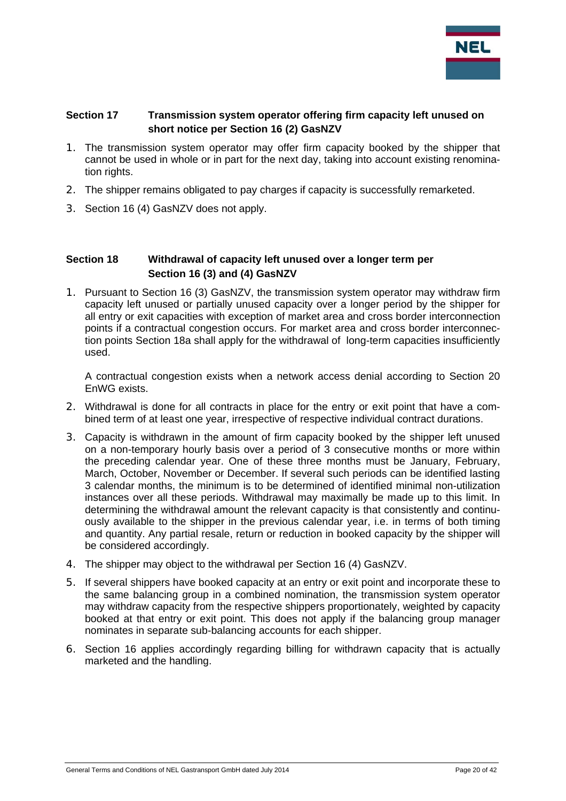

## **Section 17 Transmission system operator offering firm capacity left unused on short notice per Section 16 (2) GasNZV**

- 1. The transmission system operator may offer firm capacity booked by the shipper that cannot be used in whole or in part for the next day, taking into account existing renomination rights.
- 2. The shipper remains obligated to pay charges if capacity is successfully remarketed.
- 3. Section 16 (4) GasNZV does not apply.

## **Section 18 Withdrawal of capacity left unused over a longer term per Section 16 (3) and (4) GasNZV**

1. Pursuant to Section 16 (3) GasNZV, the transmission system operator may withdraw firm capacity left unused or partially unused capacity over a longer period by the shipper for all entry or exit capacities with exception of market area and cross border interconnection points if a contractual congestion occurs. For market area and cross border interconnection points Section 18a shall apply for the withdrawal of long-term capacities insufficiently used.

A contractual congestion exists when a network access denial according to Section 20 EnWG exists.

- 2. Withdrawal is done for all contracts in place for the entry or exit point that have a combined term of at least one year, irrespective of respective individual contract durations.
- 3. Capacity is withdrawn in the amount of firm capacity booked by the shipper left unused on a non-temporary hourly basis over a period of 3 consecutive months or more within the preceding calendar year. One of these three months must be January, February, March, October, November or December. If several such periods can be identified lasting 3 calendar months, the minimum is to be determined of identified minimal non-utilization instances over all these periods. Withdrawal may maximally be made up to this limit. In determining the withdrawal amount the relevant capacity is that consistently and continuously available to the shipper in the previous calendar year, i.e. in terms of both timing and quantity. Any partial resale, return or reduction in booked capacity by the shipper will be considered accordingly.
- 4. The shipper may object to the withdrawal per Section 16 (4) GasNZV.
- 5. If several shippers have booked capacity at an entry or exit point and incorporate these to the same balancing group in a combined nomination, the transmission system operator may withdraw capacity from the respective shippers proportionately, weighted by capacity booked at that entry or exit point. This does not apply if the balancing group manager nominates in separate sub-balancing accounts for each shipper.
- 6. Section 16 applies accordingly regarding billing for withdrawn capacity that is actually marketed and the handling.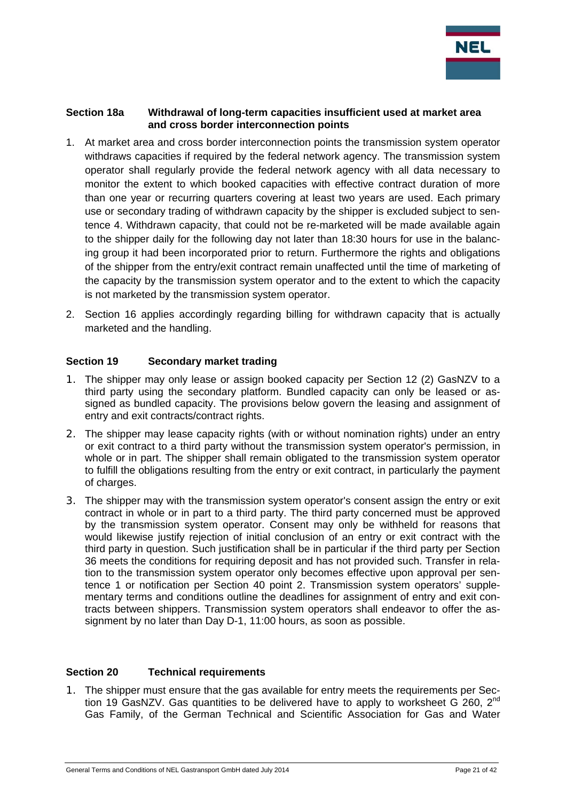

#### **Section 18a Withdrawal of long-term capacities insufficient used at market area and cross border interconnection points**

- 1. At market area and cross border interconnection points the transmission system operator withdraws capacities if required by the federal network agency. The transmission system operator shall regularly provide the federal network agency with all data necessary to monitor the extent to which booked capacities with effective contract duration of more than one year or recurring quarters covering at least two years are used. Each primary use or secondary trading of withdrawn capacity by the shipper is excluded subject to sentence 4. Withdrawn capacity, that could not be re-marketed will be made available again to the shipper daily for the following day not later than 18:30 hours for use in the balancing group it had been incorporated prior to return. Furthermore the rights and obligations of the shipper from the entry/exit contract remain unaffected until the time of marketing of the capacity by the transmission system operator and to the extent to which the capacity is not marketed by the transmission system operator.
- 2. Section 16 applies accordingly regarding billing for withdrawn capacity that is actually marketed and the handling.

## **Section 19 Secondary market trading**

- 1. The shipper may only lease or assign booked capacity per Section 12 (2) GasNZV to a third party using the secondary platform. Bundled capacity can only be leased or assigned as bundled capacity. The provisions below govern the leasing and assignment of entry and exit contracts/contract rights.
- 2. The shipper may lease capacity rights (with or without nomination rights) under an entry or exit contract to a third party without the transmission system operator's permission, in whole or in part. The shipper shall remain obligated to the transmission system operator to fulfill the obligations resulting from the entry or exit contract, in particularly the payment of charges.
- 3. The shipper may with the transmission system operator's consent assign the entry or exit contract in whole or in part to a third party. The third party concerned must be approved by the transmission system operator. Consent may only be withheld for reasons that would likewise justify rejection of initial conclusion of an entry or exit contract with the third party in question. Such justification shall be in particular if the third party per Section 36 meets the conditions for requiring deposit and has not provided such. Transfer in relation to the transmission system operator only becomes effective upon approval per sentence 1 or notification per Section 40 point 2. Transmission system operators' supplementary terms and conditions outline the deadlines for assignment of entry and exit contracts between shippers. Transmission system operators shall endeavor to offer the assignment by no later than Day D-1, 11:00 hours, as soon as possible.

## **Section 20 Technical requirements**

1. The shipper must ensure that the gas available for entry meets the requirements per Section 19 GasNZV. Gas quantities to be delivered have to apply to worksheet G 260. 2<sup>nd</sup> Gas Family, of the German Technical and Scientific Association for Gas and Water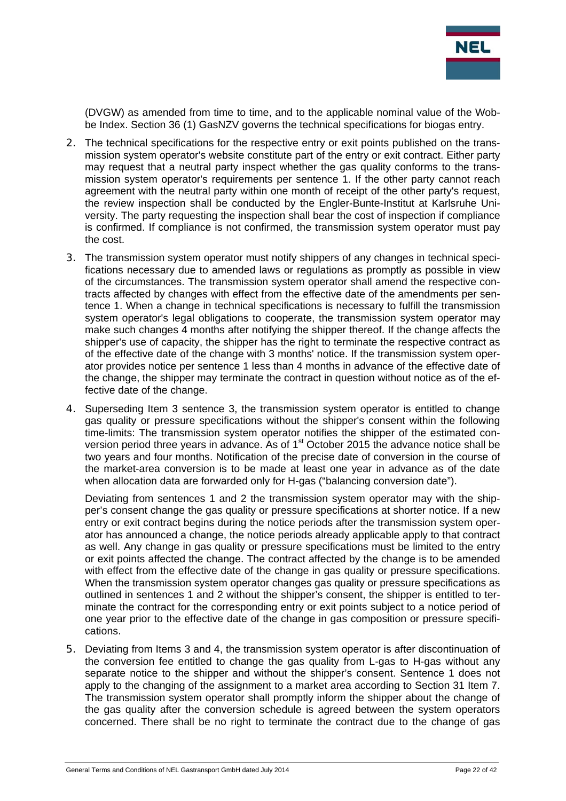

(DVGW) as amended from time to time, and to the applicable nominal value of the Wobbe Index. Section 36 (1) GasNZV governs the technical specifications for biogas entry.

- 2. The technical specifications for the respective entry or exit points published on the transmission system operator's website constitute part of the entry or exit contract. Either party may request that a neutral party inspect whether the gas quality conforms to the transmission system operator's requirements per sentence 1. If the other party cannot reach agreement with the neutral party within one month of receipt of the other party's request, the review inspection shall be conducted by the Engler-Bunte-Institut at Karlsruhe University. The party requesting the inspection shall bear the cost of inspection if compliance is confirmed. If compliance is not confirmed, the transmission system operator must pay the cost.
- 3. The transmission system operator must notify shippers of any changes in technical specifications necessary due to amended laws or regulations as promptly as possible in view of the circumstances. The transmission system operator shall amend the respective contracts affected by changes with effect from the effective date of the amendments per sentence 1. When a change in technical specifications is necessary to fulfill the transmission system operator's legal obligations to cooperate, the transmission system operator may make such changes 4 months after notifying the shipper thereof. If the change affects the shipper's use of capacity, the shipper has the right to terminate the respective contract as of the effective date of the change with 3 months' notice. If the transmission system operator provides notice per sentence 1 less than 4 months in advance of the effective date of the change, the shipper may terminate the contract in question without notice as of the effective date of the change.
- 4. Superseding Item 3 sentence 3, the transmission system operator is entitled to change gas quality or pressure specifications without the shipper's consent within the following time-limits: The transmission system operator notifies the shipper of the estimated conversion period three years in advance. As of 1<sup>st</sup> October 2015 the advance notice shall be two years and four months. Notification of the precise date of conversion in the course of the market-area conversion is to be made at least one year in advance as of the date when allocation data are forwarded only for H-gas ("balancing conversion date").

Deviating from sentences 1 and 2 the transmission system operator may with the shipper's consent change the gas quality or pressure specifications at shorter notice. If a new entry or exit contract begins during the notice periods after the transmission system operator has announced a change, the notice periods already applicable apply to that contract as well. Any change in gas quality or pressure specifications must be limited to the entry or exit points affected the change. The contract affected by the change is to be amended with effect from the effective date of the change in gas quality or pressure specifications. When the transmission system operator changes gas quality or pressure specifications as outlined in sentences 1 and 2 without the shipper's consent, the shipper is entitled to terminate the contract for the corresponding entry or exit points subject to a notice period of one year prior to the effective date of the change in gas composition or pressure specifications.

5. Deviating from Items 3 and 4, the transmission system operator is after discontinuation of the conversion fee entitled to change the gas quality from L-gas to H-gas without any separate notice to the shipper and without the shipper's consent. Sentence 1 does not apply to the changing of the assignment to a market area according to Section 31 Item 7. The transmission system operator shall promptly inform the shipper about the change of the gas quality after the conversion schedule is agreed between the system operators concerned. There shall be no right to terminate the contract due to the change of gas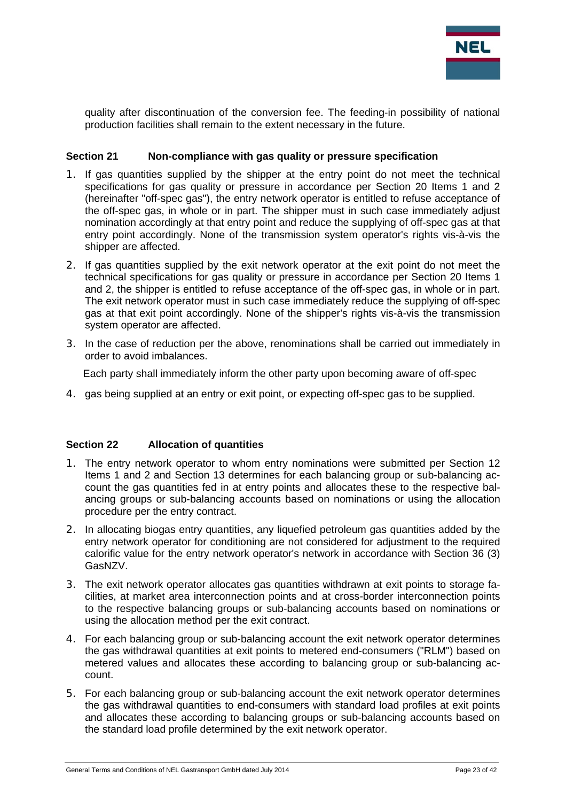

quality after discontinuation of the conversion fee. The feeding-in possibility of national production facilities shall remain to the extent necessary in the future.

#### **Section 21 Non-compliance with gas quality or pressure specification**

- 1. If gas quantities supplied by the shipper at the entry point do not meet the technical specifications for gas quality or pressure in accordance per Section 20 Items 1 and 2 (hereinafter "off-spec gas"), the entry network operator is entitled to refuse acceptance of the off-spec gas, in whole or in part. The shipper must in such case immediately adjust nomination accordingly at that entry point and reduce the supplying of off-spec gas at that entry point accordingly. None of the transmission system operator's rights vis-à-vis the shipper are affected.
- 2. If gas quantities supplied by the exit network operator at the exit point do not meet the technical specifications for gas quality or pressure in accordance per Section 20 Items 1 and 2, the shipper is entitled to refuse acceptance of the off-spec gas, in whole or in part. The exit network operator must in such case immediately reduce the supplying of off-spec gas at that exit point accordingly. None of the shipper's rights vis-à-vis the transmission system operator are affected.
- 3. In the case of reduction per the above, renominations shall be carried out immediately in order to avoid imbalances.

Each party shall immediately inform the other party upon becoming aware of off-spec

4. gas being supplied at an entry or exit point, or expecting off-spec gas to be supplied.

#### **Section 22 Allocation of quantities**

- 1. The entry network operator to whom entry nominations were submitted per Section 12 Items 1 and 2 and Section 13 determines for each balancing group or sub-balancing account the gas quantities fed in at entry points and allocates these to the respective balancing groups or sub-balancing accounts based on nominations or using the allocation procedure per the entry contract.
- 2. In allocating biogas entry quantities, any liquefied petroleum gas quantities added by the entry network operator for conditioning are not considered for adjustment to the required calorific value for the entry network operator's network in accordance with Section 36 (3) GasNZV.
- 3. The exit network operator allocates gas quantities withdrawn at exit points to storage facilities, at market area interconnection points and at cross-border interconnection points to the respective balancing groups or sub-balancing accounts based on nominations or using the allocation method per the exit contract.
- 4. For each balancing group or sub-balancing account the exit network operator determines the gas withdrawal quantities at exit points to metered end-consumers ("RLM") based on metered values and allocates these according to balancing group or sub-balancing account.
- 5. For each balancing group or sub-balancing account the exit network operator determines the gas withdrawal quantities to end-consumers with standard load profiles at exit points and allocates these according to balancing groups or sub-balancing accounts based on the standard load profile determined by the exit network operator.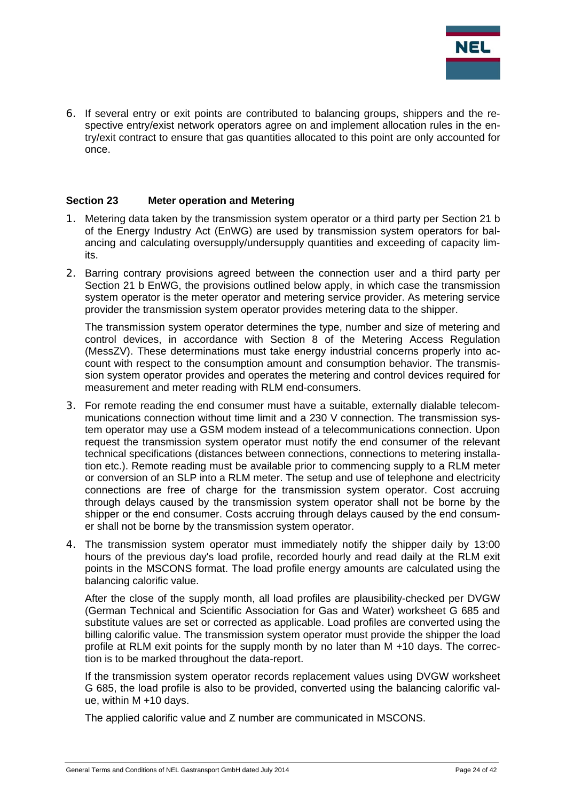

6. If several entry or exit points are contributed to balancing groups, shippers and the respective entry/exist network operators agree on and implement allocation rules in the entry/exit contract to ensure that gas quantities allocated to this point are only accounted for once.

#### **Section 23 Meter operation and Metering**

- 1. Metering data taken by the transmission system operator or a third party per Section 21 b of the Energy Industry Act (EnWG) are used by transmission system operators for balancing and calculating oversupply/undersupply quantities and exceeding of capacity limits.
- 2. Barring contrary provisions agreed between the connection user and a third party per Section 21 b EnWG, the provisions outlined below apply, in which case the transmission system operator is the meter operator and metering service provider. As metering service provider the transmission system operator provides metering data to the shipper.

The transmission system operator determines the type, number and size of metering and control devices, in accordance with Section 8 of the Metering Access Regulation (MessZV). These determinations must take energy industrial concerns properly into account with respect to the consumption amount and consumption behavior. The transmission system operator provides and operates the metering and control devices required for measurement and meter reading with RLM end-consumers.

- 3. For remote reading the end consumer must have a suitable, externally dialable telecommunications connection without time limit and a 230 V connection. The transmission system operator may use a GSM modem instead of a telecommunications connection. Upon request the transmission system operator must notify the end consumer of the relevant technical specifications (distances between connections, connections to metering installation etc.). Remote reading must be available prior to commencing supply to a RLM meter or conversion of an SLP into a RLM meter. The setup and use of telephone and electricity connections are free of charge for the transmission system operator. Cost accruing through delays caused by the transmission system operator shall not be borne by the shipper or the end consumer. Costs accruing through delays caused by the end consumer shall not be borne by the transmission system operator.
- 4. The transmission system operator must immediately notify the shipper daily by 13:00 hours of the previous day's load profile, recorded hourly and read daily at the RLM exit points in the MSCONS format. The load profile energy amounts are calculated using the balancing calorific value.

After the close of the supply month, all load profiles are plausibility-checked per DVGW (German Technical and Scientific Association for Gas and Water) worksheet G 685 and substitute values are set or corrected as applicable. Load profiles are converted using the billing calorific value. The transmission system operator must provide the shipper the load profile at RLM exit points for the supply month by no later than M +10 days. The correction is to be marked throughout the data-report.

If the transmission system operator records replacement values using DVGW worksheet G 685, the load profile is also to be provided, converted using the balancing calorific value, within M +10 days.

The applied calorific value and Z number are communicated in MSCONS.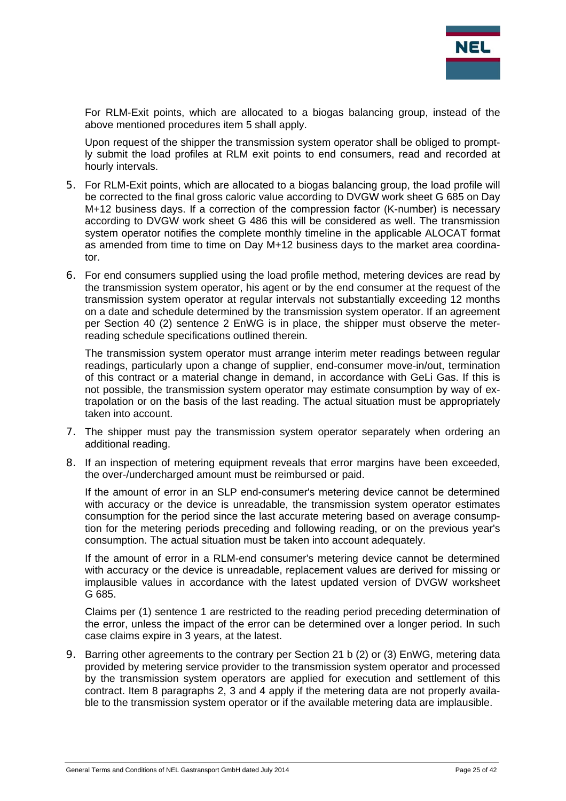

For RLM-Exit points, which are allocated to a biogas balancing group, instead of the above mentioned procedures item 5 shall apply.

Upon request of the shipper the transmission system operator shall be obliged to promptly submit the load profiles at RLM exit points to end consumers, read and recorded at hourly intervals.

- 5. For RLM-Exit points, which are allocated to a biogas balancing group, the load profile will be corrected to the final gross caloric value according to DVGW work sheet G 685 on Day M+12 business days. If a correction of the compression factor (K-number) is necessary according to DVGW work sheet G 486 this will be considered as well. The transmission system operator notifies the complete monthly timeline in the applicable ALOCAT format as amended from time to time on Day M+12 business days to the market area coordinator.
- 6. For end consumers supplied using the load profile method, metering devices are read by the transmission system operator, his agent or by the end consumer at the request of the transmission system operator at regular intervals not substantially exceeding 12 months on a date and schedule determined by the transmission system operator. If an agreement per Section 40 (2) sentence 2 EnWG is in place, the shipper must observe the meterreading schedule specifications outlined therein.

The transmission system operator must arrange interim meter readings between regular readings, particularly upon a change of supplier, end-consumer move-in/out, termination of this contract or a material change in demand, in accordance with GeLi Gas. If this is not possible, the transmission system operator may estimate consumption by way of extrapolation or on the basis of the last reading. The actual situation must be appropriately taken into account.

- 7. The shipper must pay the transmission system operator separately when ordering an additional reading.
- 8. If an inspection of metering equipment reveals that error margins have been exceeded, the over-/undercharged amount must be reimbursed or paid.

If the amount of error in an SLP end-consumer's metering device cannot be determined with accuracy or the device is unreadable, the transmission system operator estimates consumption for the period since the last accurate metering based on average consumption for the metering periods preceding and following reading, or on the previous year's consumption. The actual situation must be taken into account adequately.

If the amount of error in a RLM-end consumer's metering device cannot be determined with accuracy or the device is unreadable, replacement values are derived for missing or implausible values in accordance with the latest updated version of DVGW worksheet G 685.

Claims per (1) sentence 1 are restricted to the reading period preceding determination of the error, unless the impact of the error can be determined over a longer period. In such case claims expire in 3 years, at the latest.

9. Barring other agreements to the contrary per Section 21 b (2) or (3) EnWG, metering data provided by metering service provider to the transmission system operator and processed by the transmission system operators are applied for execution and settlement of this contract. Item 8 paragraphs 2, 3 and 4 apply if the metering data are not properly available to the transmission system operator or if the available metering data are implausible.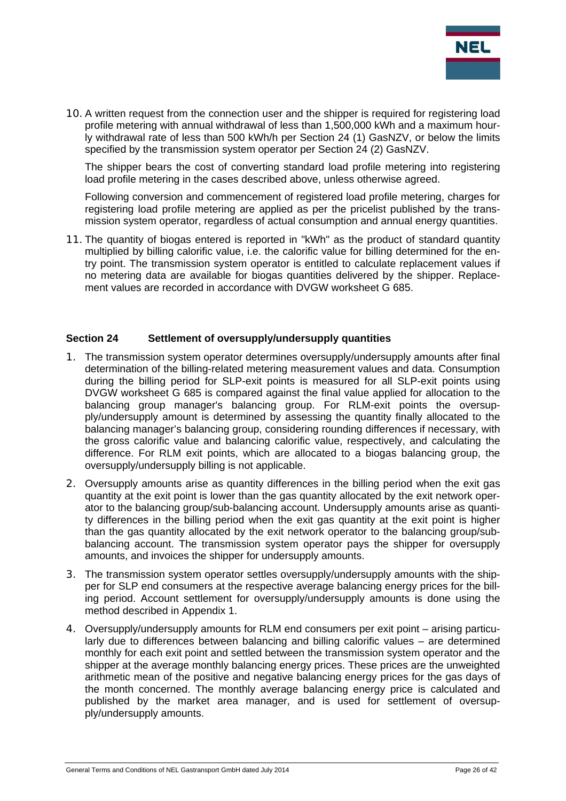

10. A written request from the connection user and the shipper is required for registering load profile metering with annual withdrawal of less than 1,500,000 kWh and a maximum hourly withdrawal rate of less than 500 kWh/h per Section 24 (1) GasNZV, or below the limits specified by the transmission system operator per Section 24 (2) GasNZV.

The shipper bears the cost of converting standard load profile metering into registering load profile metering in the cases described above, unless otherwise agreed.

Following conversion and commencement of registered load profile metering, charges for registering load profile metering are applied as per the pricelist published by the transmission system operator, regardless of actual consumption and annual energy quantities.

11. The quantity of biogas entered is reported in "kWh" as the product of standard quantity multiplied by billing calorific value, i.e. the calorific value for billing determined for the entry point. The transmission system operator is entitled to calculate replacement values if no metering data are available for biogas quantities delivered by the shipper. Replacement values are recorded in accordance with DVGW worksheet G 685.

#### **Section 24 Settlement of oversupply/undersupply quantities**

- 1. The transmission system operator determines oversupply/undersupply amounts after final determination of the billing-related metering measurement values and data. Consumption during the billing period for SLP-exit points is measured for all SLP-exit points using DVGW worksheet G 685 is compared against the final value applied for allocation to the balancing group manager's balancing group. For RLM-exit points the oversupply/undersupply amount is determined by assessing the quantity finally allocated to the balancing manager's balancing group, considering rounding differences if necessary, with the gross calorific value and balancing calorific value, respectively, and calculating the difference. For RLM exit points, which are allocated to a biogas balancing group, the oversupply/undersupply billing is not applicable.
- 2. Oversupply amounts arise as quantity differences in the billing period when the exit gas quantity at the exit point is lower than the gas quantity allocated by the exit network operator to the balancing group/sub-balancing account. Undersupply amounts arise as quantity differences in the billing period when the exit gas quantity at the exit point is higher than the gas quantity allocated by the exit network operator to the balancing group/subbalancing account. The transmission system operator pays the shipper for oversupply amounts, and invoices the shipper for undersupply amounts.
- 3. The transmission system operator settles oversupply/undersupply amounts with the shipper for SLP end consumers at the respective average balancing energy prices for the billing period. Account settlement for oversupply/undersupply amounts is done using the method described in Appendix 1.
- 4. Oversupply/undersupply amounts for RLM end consumers per exit point arising particularly due to differences between balancing and billing calorific values – are determined monthly for each exit point and settled between the transmission system operator and the shipper at the average monthly balancing energy prices. These prices are the unweighted arithmetic mean of the positive and negative balancing energy prices for the gas days of the month concerned. The monthly average balancing energy price is calculated and published by the market area manager, and is used for settlement of oversupply/undersupply amounts.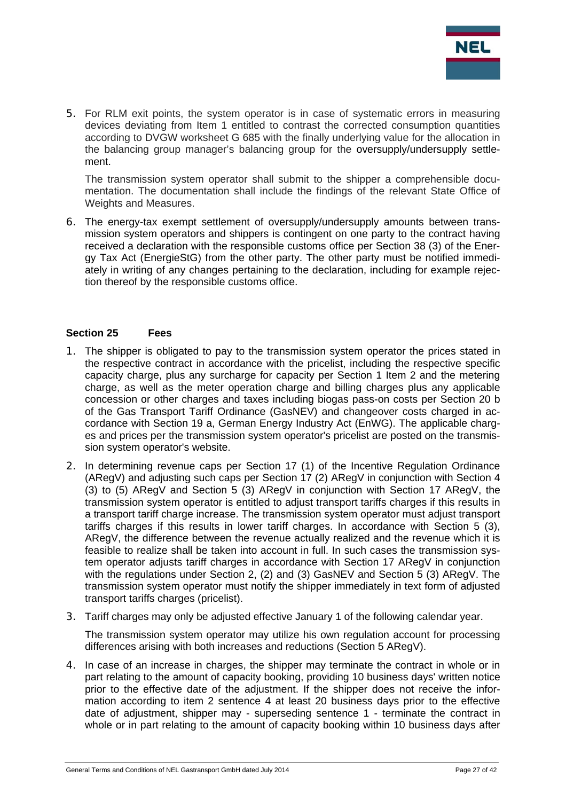

5. For RLM exit points, the system operator is in case of systematic errors in measuring devices deviating from Item 1 entitled to contrast the corrected consumption quantities according to DVGW worksheet G 685 with the finally underlying value for the allocation in the balancing group manager's balancing group for the oversupply/undersupply settlement.

The transmission system operator shall submit to the shipper a comprehensible documentation. The documentation shall include the findings of the relevant State Office of Weights and Measures.

6. The energy-tax exempt settlement of oversupply/undersupply amounts between transmission system operators and shippers is contingent on one party to the contract having received a declaration with the responsible customs office per Section 38 (3) of the Energy Tax Act (EnergieStG) from the other party. The other party must be notified immediately in writing of any changes pertaining to the declaration, including for example rejection thereof by the responsible customs office.

#### **Section 25 Fees**

- 1. The shipper is obligated to pay to the transmission system operator the prices stated in the respective contract in accordance with the pricelist, including the respective specific capacity charge, plus any surcharge for capacity per Section 1 Item 2 and the metering charge, as well as the meter operation charge and billing charges plus any applicable concession or other charges and taxes including biogas pass-on costs per Section 20 b of the Gas Transport Tariff Ordinance (GasNEV) and changeover costs charged in accordance with Section 19 a, German Energy Industry Act (EnWG). The applicable charges and prices per the transmission system operator's pricelist are posted on the transmission system operator's website.
- 2. In determining revenue caps per Section 17 (1) of the Incentive Regulation Ordinance (ARegV) and adjusting such caps per Section 17 (2) ARegV in conjunction with Section 4 (3) to (5) ARegV and Section 5 (3) ARegV in conjunction with Section 17 ARegV, the transmission system operator is entitled to adjust transport tariffs charges if this results in a transport tariff charge increase. The transmission system operator must adjust transport tariffs charges if this results in lower tariff charges. In accordance with Section 5 (3), ARegV, the difference between the revenue actually realized and the revenue which it is feasible to realize shall be taken into account in full. In such cases the transmission system operator adjusts tariff charges in accordance with Section 17 ARegV in conjunction with the regulations under Section 2, (2) and (3) GasNEV and Section 5 (3) ARegV. The transmission system operator must notify the shipper immediately in text form of adjusted transport tariffs charges (pricelist).
- 3. Tariff charges may only be adjusted effective January 1 of the following calendar year.

The transmission system operator may utilize his own regulation account for processing differences arising with both increases and reductions (Section 5 ARegV).

4. In case of an increase in charges, the shipper may terminate the contract in whole or in part relating to the amount of capacity booking, providing 10 business days' written notice prior to the effective date of the adjustment. If the shipper does not receive the information according to item 2 sentence 4 at least 20 business days prior to the effective date of adjustment, shipper may - superseding sentence 1 - terminate the contract in whole or in part relating to the amount of capacity booking within 10 business days after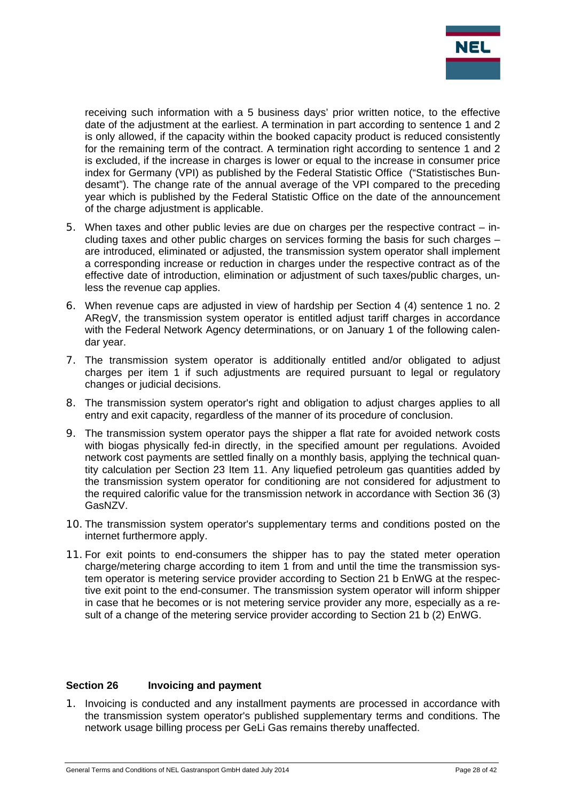

receiving such information with a 5 business days' prior written notice, to the effective date of the adjustment at the earliest. A termination in part according to sentence 1 and 2 is only allowed, if the capacity within the booked capacity product is reduced consistently for the remaining term of the contract. A termination right according to sentence 1 and 2 is excluded, if the increase in charges is lower or equal to the increase in consumer price index for Germany (VPI) as published by the Federal Statistic Office ("Statistisches Bundesamt"). The change rate of the annual average of the VPI compared to the preceding year which is published by the Federal Statistic Office on the date of the announcement of the charge adjustment is applicable.

- 5. When taxes and other public levies are due on charges per the respective contract including taxes and other public charges on services forming the basis for such charges – are introduced, eliminated or adjusted, the transmission system operator shall implement a corresponding increase or reduction in charges under the respective contract as of the effective date of introduction, elimination or adjustment of such taxes/public charges, unless the revenue cap applies.
- 6. When revenue caps are adjusted in view of hardship per Section 4 (4) sentence 1 no. 2 ARegV, the transmission system operator is entitled adjust tariff charges in accordance with the Federal Network Agency determinations, or on January 1 of the following calendar year.
- 7. The transmission system operator is additionally entitled and/or obligated to adjust charges per item 1 if such adjustments are required pursuant to legal or regulatory changes or judicial decisions.
- 8. The transmission system operator's right and obligation to adjust charges applies to all entry and exit capacity, regardless of the manner of its procedure of conclusion.
- 9. The transmission system operator pays the shipper a flat rate for avoided network costs with biogas physically fed-in directly, in the specified amount per regulations. Avoided network cost payments are settled finally on a monthly basis, applying the technical quantity calculation per Section 23 Item 11. Any liquefied petroleum gas quantities added by the transmission system operator for conditioning are not considered for adjustment to the required calorific value for the transmission network in accordance with Section 36 (3) GasNZV.
- 10. The transmission system operator's supplementary terms and conditions posted on the internet furthermore apply.
- 11. For exit points to end-consumers the shipper has to pay the stated meter operation charge/metering charge according to item 1 from and until the time the transmission system operator is metering service provider according to Section 21 b EnWG at the respective exit point to the end-consumer. The transmission system operator will inform shipper in case that he becomes or is not metering service provider any more, especially as a result of a change of the metering service provider according to Section 21 b (2) EnWG.

#### **Section 26 Invoicing and payment**

1. Invoicing is conducted and any installment payments are processed in accordance with the transmission system operator's published supplementary terms and conditions. The network usage billing process per GeLi Gas remains thereby unaffected.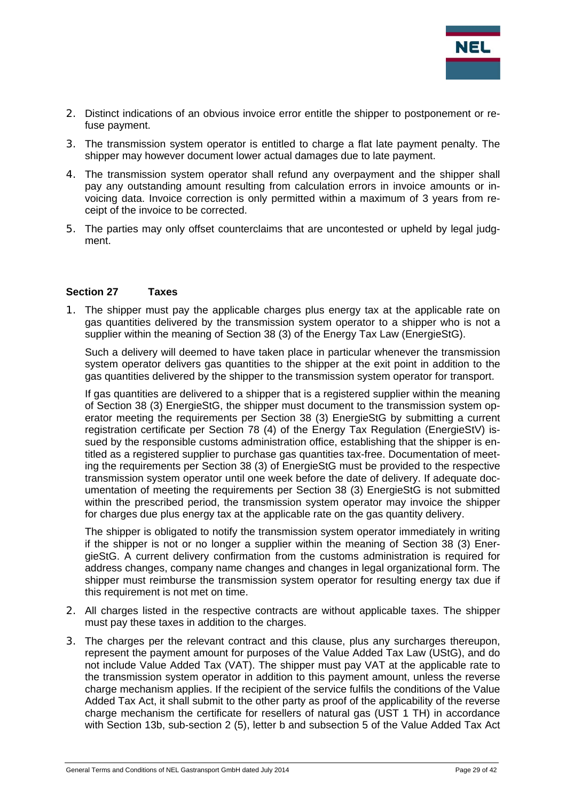

- 2. Distinct indications of an obvious invoice error entitle the shipper to postponement or refuse payment.
- 3. The transmission system operator is entitled to charge a flat late payment penalty. The shipper may however document lower actual damages due to late payment.
- 4. The transmission system operator shall refund any overpayment and the shipper shall pay any outstanding amount resulting from calculation errors in invoice amounts or invoicing data. Invoice correction is only permitted within a maximum of 3 years from receipt of the invoice to be corrected.
- 5. The parties may only offset counterclaims that are uncontested or upheld by legal judgment.

#### **Section 27 Taxes**

1. The shipper must pay the applicable charges plus energy tax at the applicable rate on gas quantities delivered by the transmission system operator to a shipper who is not a supplier within the meaning of Section 38 (3) of the Energy Tax Law (EnergieStG).

Such a delivery will deemed to have taken place in particular whenever the transmission system operator delivers gas quantities to the shipper at the exit point in addition to the gas quantities delivered by the shipper to the transmission system operator for transport.

If gas quantities are delivered to a shipper that is a registered supplier within the meaning of Section 38 (3) EnergieStG, the shipper must document to the transmission system operator meeting the requirements per Section 38 (3) EnergieStG by submitting a current registration certificate per Section 78 (4) of the Energy Tax Regulation (EnergieStV) issued by the responsible customs administration office, establishing that the shipper is entitled as a registered supplier to purchase gas quantities tax-free. Documentation of meeting the requirements per Section 38 (3) of EnergieStG must be provided to the respective transmission system operator until one week before the date of delivery. If adequate documentation of meeting the requirements per Section 38 (3) EnergieStG is not submitted within the prescribed period, the transmission system operator may invoice the shipper for charges due plus energy tax at the applicable rate on the gas quantity delivery.

The shipper is obligated to notify the transmission system operator immediately in writing if the shipper is not or no longer a supplier within the meaning of Section 38 (3) EnergieStG. A current delivery confirmation from the customs administration is required for address changes, company name changes and changes in legal organizational form. The shipper must reimburse the transmission system operator for resulting energy tax due if this requirement is not met on time.

- 2. All charges listed in the respective contracts are without applicable taxes. The shipper must pay these taxes in addition to the charges.
- 3. The charges per the relevant contract and this clause, plus any surcharges thereupon, represent the payment amount for purposes of the Value Added Tax Law (UStG), and do not include Value Added Tax (VAT). The shipper must pay VAT at the applicable rate to the transmission system operator in addition to this payment amount, unless the reverse charge mechanism applies. If the recipient of the service fulfils the conditions of the Value Added Tax Act, it shall submit to the other party as proof of the applicability of the reverse charge mechanism the certificate for resellers of natural gas (UST 1 TH) in accordance with Section 13b, sub-section 2 (5), letter b and subsection 5 of the Value Added Tax Act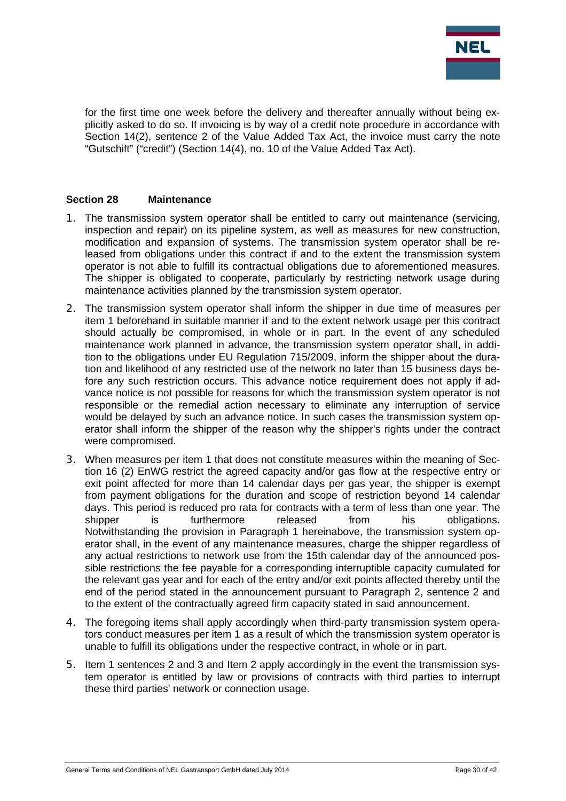

for the first time one week before the delivery and thereafter annually without being explicitly asked to do so. If invoicing is by way of a credit note procedure in accordance with Section 14(2), sentence 2 of the Value Added Tax Act, the invoice must carry the note "Gutschift" ("credit") (Section 14(4), no. 10 of the Value Added Tax Act).

#### **Section 28 Maintenance**

- 1. The transmission system operator shall be entitled to carry out maintenance (servicing, inspection and repair) on its pipeline system, as well as measures for new construction, modification and expansion of systems. The transmission system operator shall be released from obligations under this contract if and to the extent the transmission system operator is not able to fulfill its contractual obligations due to aforementioned measures. The shipper is obligated to cooperate, particularly by restricting network usage during maintenance activities planned by the transmission system operator.
- 2. The transmission system operator shall inform the shipper in due time of measures per item 1 beforehand in suitable manner if and to the extent network usage per this contract should actually be compromised, in whole or in part. In the event of any scheduled maintenance work planned in advance, the transmission system operator shall, in addition to the obligations under EU Regulation 715/2009, inform the shipper about the duration and likelihood of any restricted use of the network no later than 15 business days before any such restriction occurs. This advance notice requirement does not apply if advance notice is not possible for reasons for which the transmission system operator is not responsible or the remedial action necessary to eliminate any interruption of service would be delayed by such an advance notice. In such cases the transmission system operator shall inform the shipper of the reason why the shipper's rights under the contract were compromised.
- 3. When measures per item 1 that does not constitute measures within the meaning of Section 16 (2) EnWG restrict the agreed capacity and/or gas flow at the respective entry or exit point affected for more than 14 calendar days per gas year, the shipper is exempt from payment obligations for the duration and scope of restriction beyond 14 calendar days. This period is reduced pro rata for contracts with a term of less than one year. The shipper is furthermore released from his obligations. Notwithstanding the provision in Paragraph 1 hereinabove, the transmission system operator shall, in the event of any maintenance measures, charge the shipper regardless of any actual restrictions to network use from the 15th calendar day of the announced possible restrictions the fee payable for a corresponding interruptible capacity cumulated for the relevant gas year and for each of the entry and/or exit points affected thereby until the end of the period stated in the announcement pursuant to Paragraph 2, sentence 2 and to the extent of the contractually agreed firm capacity stated in said announcement.
- 4. The foregoing items shall apply accordingly when third-party transmission system operators conduct measures per item 1 as a result of which the transmission system operator is unable to fulfill its obligations under the respective contract, in whole or in part.
- 5. Item 1 sentences 2 and 3 and Item 2 apply accordingly in the event the transmission system operator is entitled by law or provisions of contracts with third parties to interrupt these third parties' network or connection usage.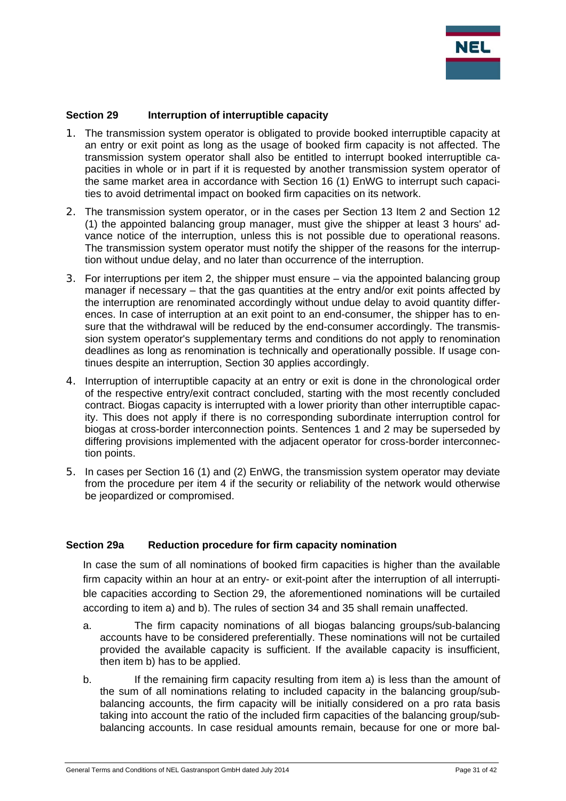

## **Section 29 Interruption of interruptible capacity**

- 1. The transmission system operator is obligated to provide booked interruptible capacity at an entry or exit point as long as the usage of booked firm capacity is not affected. The transmission system operator shall also be entitled to interrupt booked interruptible capacities in whole or in part if it is requested by another transmission system operator of the same market area in accordance with Section 16 (1) EnWG to interrupt such capacities to avoid detrimental impact on booked firm capacities on its network.
- 2. The transmission system operator, or in the cases per Section 13 Item 2 and Section 12 (1) the appointed balancing group manager, must give the shipper at least 3 hours' advance notice of the interruption, unless this is not possible due to operational reasons. The transmission system operator must notify the shipper of the reasons for the interruption without undue delay, and no later than occurrence of the interruption.
- 3. For interruptions per item 2, the shipper must ensure via the appointed balancing group manager if necessary – that the gas quantities at the entry and/or exit points affected by the interruption are renominated accordingly without undue delay to avoid quantity differences. In case of interruption at an exit point to an end-consumer, the shipper has to ensure that the withdrawal will be reduced by the end-consumer accordingly. The transmission system operator's supplementary terms and conditions do not apply to renomination deadlines as long as renomination is technically and operationally possible. If usage continues despite an interruption, Section 30 applies accordingly.
- 4. Interruption of interruptible capacity at an entry or exit is done in the chronological order of the respective entry/exit contract concluded, starting with the most recently concluded contract. Biogas capacity is interrupted with a lower priority than other interruptible capacity. This does not apply if there is no corresponding subordinate interruption control for biogas at cross-border interconnection points. Sentences 1 and 2 may be superseded by differing provisions implemented with the adjacent operator for cross-border interconnection points.
- 5. In cases per Section 16 (1) and (2) EnWG, the transmission system operator may deviate from the procedure per item 4 if the security or reliability of the network would otherwise be jeopardized or compromised.

#### **Section 29a Reduction procedure for firm capacity nomination**

In case the sum of all nominations of booked firm capacities is higher than the available firm capacity within an hour at an entry- or exit-point after the interruption of all interruptible capacities according to Section 29, the aforementioned nominations will be curtailed according to item a) and b). The rules of section 34 and 35 shall remain unaffected.

- a. The firm capacity nominations of all biogas balancing groups/sub-balancing accounts have to be considered preferentially. These nominations will not be curtailed provided the available capacity is sufficient. If the available capacity is insufficient, then item b) has to be applied.
- b. If the remaining firm capacity resulting from item a) is less than the amount of the sum of all nominations relating to included capacity in the balancing group/subbalancing accounts, the firm capacity will be initially considered on a pro rata basis taking into account the ratio of the included firm capacities of the balancing group/subbalancing accounts. In case residual amounts remain, because for one or more bal-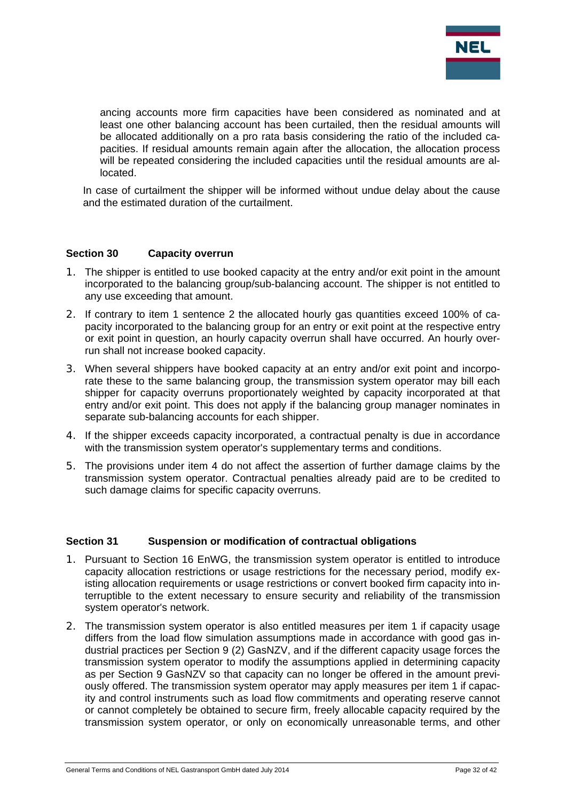

ancing accounts more firm capacities have been considered as nominated and at least one other balancing account has been curtailed, then the residual amounts will be allocated additionally on a pro rata basis considering the ratio of the included capacities. If residual amounts remain again after the allocation, the allocation process will be repeated considering the included capacities until the residual amounts are allocated.

In case of curtailment the shipper will be informed without undue delay about the cause and the estimated duration of the curtailment.

#### **Section 30 Capacity overrun**

- 1. The shipper is entitled to use booked capacity at the entry and/or exit point in the amount incorporated to the balancing group/sub-balancing account. The shipper is not entitled to any use exceeding that amount.
- 2. If contrary to item 1 sentence 2 the allocated hourly gas quantities exceed 100% of capacity incorporated to the balancing group for an entry or exit point at the respective entry or exit point in question, an hourly capacity overrun shall have occurred. An hourly overrun shall not increase booked capacity.
- 3. When several shippers have booked capacity at an entry and/or exit point and incorporate these to the same balancing group, the transmission system operator may bill each shipper for capacity overruns proportionately weighted by capacity incorporated at that entry and/or exit point. This does not apply if the balancing group manager nominates in separate sub-balancing accounts for each shipper.
- 4. If the shipper exceeds capacity incorporated, a contractual penalty is due in accordance with the transmission system operator's supplementary terms and conditions.
- 5. The provisions under item 4 do not affect the assertion of further damage claims by the transmission system operator. Contractual penalties already paid are to be credited to such damage claims for specific capacity overruns.

## **Section 31** Suspension or modification of contractual obligations

- 1. Pursuant to Section 16 EnWG, the transmission system operator is entitled to introduce capacity allocation restrictions or usage restrictions for the necessary period, modify existing allocation requirements or usage restrictions or convert booked firm capacity into interruptible to the extent necessary to ensure security and reliability of the transmission system operator's network.
- 2. The transmission system operator is also entitled measures per item 1 if capacity usage differs from the load flow simulation assumptions made in accordance with good gas industrial practices per Section 9 (2) GasNZV, and if the different capacity usage forces the transmission system operator to modify the assumptions applied in determining capacity as per Section 9 GasNZV so that capacity can no longer be offered in the amount previously offered. The transmission system operator may apply measures per item 1 if capacity and control instruments such as load flow commitments and operating reserve cannot or cannot completely be obtained to secure firm, freely allocable capacity required by the transmission system operator, or only on economically unreasonable terms, and other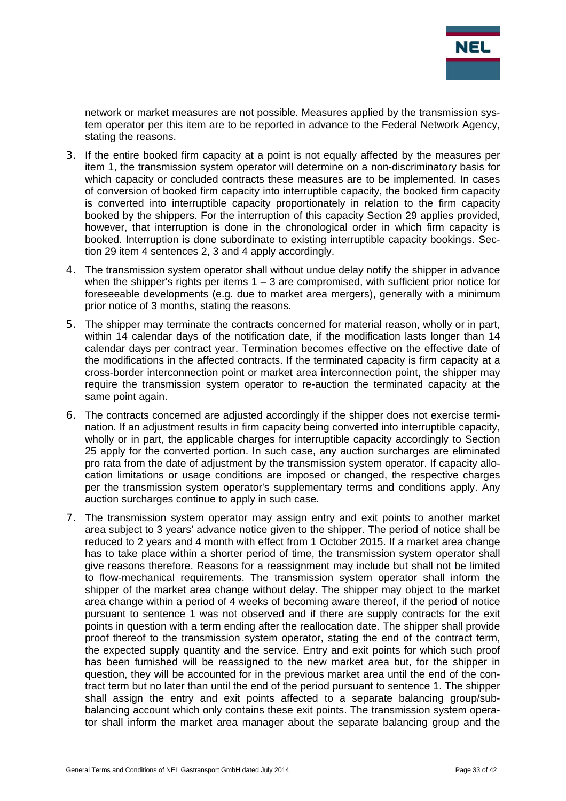

network or market measures are not possible. Measures applied by the transmission system operator per this item are to be reported in advance to the Federal Network Agency, stating the reasons.

- 3. If the entire booked firm capacity at a point is not equally affected by the measures per item 1, the transmission system operator will determine on a non-discriminatory basis for which capacity or concluded contracts these measures are to be implemented. In cases of conversion of booked firm capacity into interruptible capacity, the booked firm capacity is converted into interruptible capacity proportionately in relation to the firm capacity booked by the shippers. For the interruption of this capacity Section 29 applies provided, however, that interruption is done in the chronological order in which firm capacity is booked. Interruption is done subordinate to existing interruptible capacity bookings. Section 29 item 4 sentences 2, 3 and 4 apply accordingly.
- 4. The transmission system operator shall without undue delay notify the shipper in advance when the shipper's rights per items  $1 - 3$  are compromised, with sufficient prior notice for foreseeable developments (e.g. due to market area mergers), generally with a minimum prior notice of 3 months, stating the reasons.
- 5. The shipper may terminate the contracts concerned for material reason, wholly or in part, within 14 calendar days of the notification date, if the modification lasts longer than 14 calendar days per contract year. Termination becomes effective on the effective date of the modifications in the affected contracts. If the terminated capacity is firm capacity at a cross-border interconnection point or market area interconnection point, the shipper may require the transmission system operator to re-auction the terminated capacity at the same point again.
- 6. The contracts concerned are adjusted accordingly if the shipper does not exercise termination. If an adjustment results in firm capacity being converted into interruptible capacity, wholly or in part, the applicable charges for interruptible capacity accordingly to Section 25 apply for the converted portion. In such case, any auction surcharges are eliminated pro rata from the date of adjustment by the transmission system operator. If capacity allocation limitations or usage conditions are imposed or changed, the respective charges per the transmission system operator's supplementary terms and conditions apply. Any auction surcharges continue to apply in such case.
- 7. The transmission system operator may assign entry and exit points to another market area subject to 3 years' advance notice given to the shipper. The period of notice shall be reduced to 2 years and 4 month with effect from 1 October 2015. If a market area change has to take place within a shorter period of time, the transmission system operator shall give reasons therefore. Reasons for a reassignment may include but shall not be limited to flow-mechanical requirements. The transmission system operator shall inform the shipper of the market area change without delay. The shipper may object to the market area change within a period of 4 weeks of becoming aware thereof, if the period of notice pursuant to sentence 1 was not observed and if there are supply contracts for the exit points in question with a term ending after the reallocation date. The shipper shall provide proof thereof to the transmission system operator, stating the end of the contract term, the expected supply quantity and the service. Entry and exit points for which such proof has been furnished will be reassigned to the new market area but, for the shipper in question, they will be accounted for in the previous market area until the end of the contract term but no later than until the end of the period pursuant to sentence 1. The shipper shall assign the entry and exit points affected to a separate balancing group/subbalancing account which only contains these exit points. The transmission system operator shall inform the market area manager about the separate balancing group and the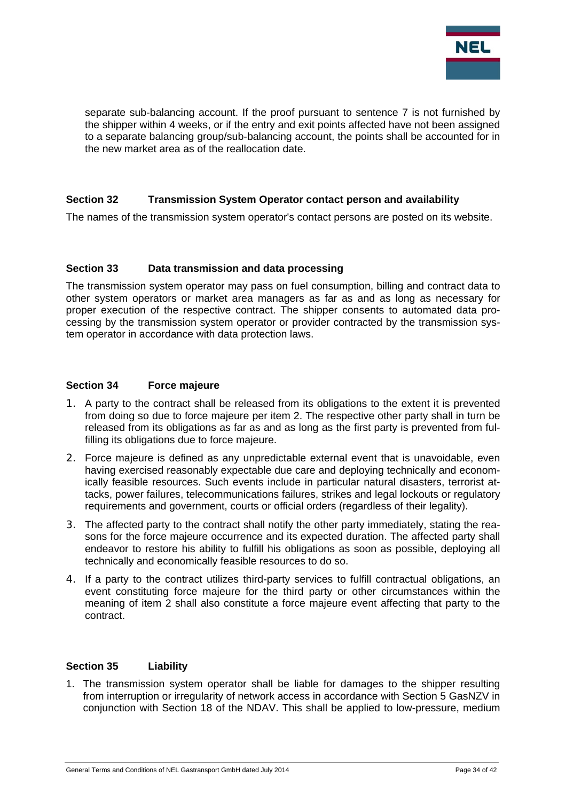

separate sub-balancing account. If the proof pursuant to sentence 7 is not furnished by the shipper within 4 weeks, or if the entry and exit points affected have not been assigned to a separate balancing group/sub-balancing account, the points shall be accounted for in the new market area as of the reallocation date.

#### **Section 32 Transmission System Operator contact person and availability**

The names of the transmission system operator's contact persons are posted on its website.

#### **Section 33 Data transmission and data processing**

The transmission system operator may pass on fuel consumption, billing and contract data to other system operators or market area managers as far as and as long as necessary for proper execution of the respective contract. The shipper consents to automated data processing by the transmission system operator or provider contracted by the transmission system operator in accordance with data protection laws.

#### **Section 34 Force majeure**

- 1. A party to the contract shall be released from its obligations to the extent it is prevented from doing so due to force majeure per item 2. The respective other party shall in turn be released from its obligations as far as and as long as the first party is prevented from fulfilling its obligations due to force majeure.
- 2. Force majeure is defined as any unpredictable external event that is unavoidable, even having exercised reasonably expectable due care and deploying technically and economically feasible resources. Such events include in particular natural disasters, terrorist attacks, power failures, telecommunications failures, strikes and legal lockouts or regulatory requirements and government, courts or official orders (regardless of their legality).
- 3. The affected party to the contract shall notify the other party immediately, stating the reasons for the force majeure occurrence and its expected duration. The affected party shall endeavor to restore his ability to fulfill his obligations as soon as possible, deploying all technically and economically feasible resources to do so.
- 4. If a party to the contract utilizes third-party services to fulfill contractual obligations, an event constituting force majeure for the third party or other circumstances within the meaning of item 2 shall also constitute a force majeure event affecting that party to the contract.

## **Section 35 Liability**

1. The transmission system operator shall be liable for damages to the shipper resulting from interruption or irregularity of network access in accordance with Section 5 GasNZV in conjunction with Section 18 of the NDAV. This shall be applied to low-pressure, medium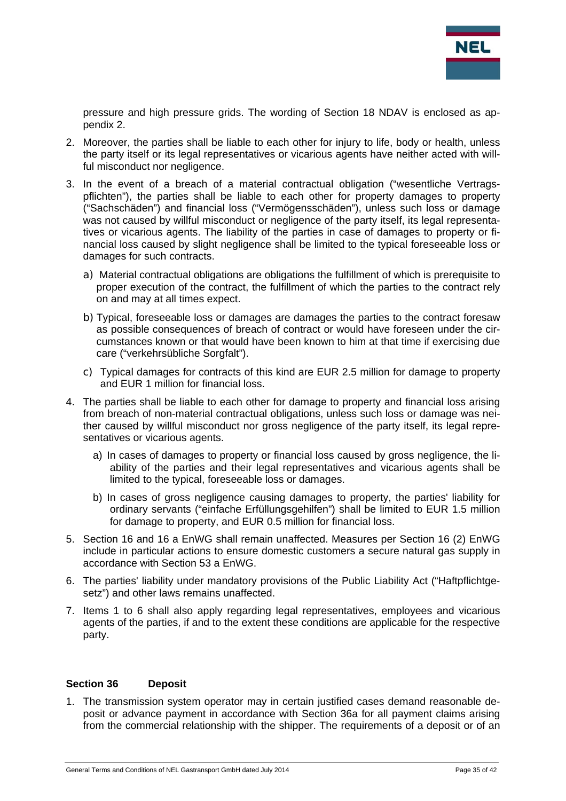

pressure and high pressure grids. The wording of Section 18 NDAV is enclosed as appendix 2.

- 2. Moreover, the parties shall be liable to each other for injury to life, body or health, unless the party itself or its legal representatives or vicarious agents have neither acted with willful misconduct nor negligence.
- 3. In the event of a breach of a material contractual obligation ("wesentliche Vertragspflichten"), the parties shall be liable to each other for property damages to property ("Sachschäden") and financial loss ("Vermögensschäden"), unless such loss or damage was not caused by willful misconduct or negligence of the party itself, its legal representatives or vicarious agents. The liability of the parties in case of damages to property or financial loss caused by slight negligence shall be limited to the typical foreseeable loss or damages for such contracts.
	- a) Material contractual obligations are obligations the fulfillment of which is prerequisite to proper execution of the contract, the fulfillment of which the parties to the contract rely on and may at all times expect.
	- b) Typical, foreseeable loss or damages are damages the parties to the contract foresaw as possible consequences of breach of contract or would have foreseen under the circumstances known or that would have been known to him at that time if exercising due care ("verkehrsübliche Sorgfalt").
	- c) Typical damages for contracts of this kind are EUR 2.5 million for damage to property and EUR 1 million for financial loss.
- 4. The parties shall be liable to each other for damage to property and financial loss arising from breach of non-material contractual obligations, unless such loss or damage was neither caused by willful misconduct nor gross negligence of the party itself, its legal representatives or vicarious agents.
	- a) In cases of damages to property or financial loss caused by gross negligence, the liability of the parties and their legal representatives and vicarious agents shall be limited to the typical, foreseeable loss or damages.
	- b) In cases of gross negligence causing damages to property, the parties' liability for ordinary servants ("einfache Erfüllungsgehilfen") shall be limited to EUR 1.5 million for damage to property, and EUR 0.5 million for financial loss.
- 5. Section 16 and 16 a EnWG shall remain unaffected. Measures per Section 16 (2) EnWG include in particular actions to ensure domestic customers a secure natural gas supply in accordance with Section 53 a EnWG.
- 6. The parties' liability under mandatory provisions of the Public Liability Act ("Haftpflichtgesetz") and other laws remains unaffected.
- 7. Items 1 to 6 shall also apply regarding legal representatives, employees and vicarious agents of the parties, if and to the extent these conditions are applicable for the respective party.

#### **Section 36 Deposit**

1. The transmission system operator may in certain justified cases demand reasonable deposit or advance payment in accordance with Section 36a for all payment claims arising from the commercial relationship with the shipper. The requirements of a deposit or of an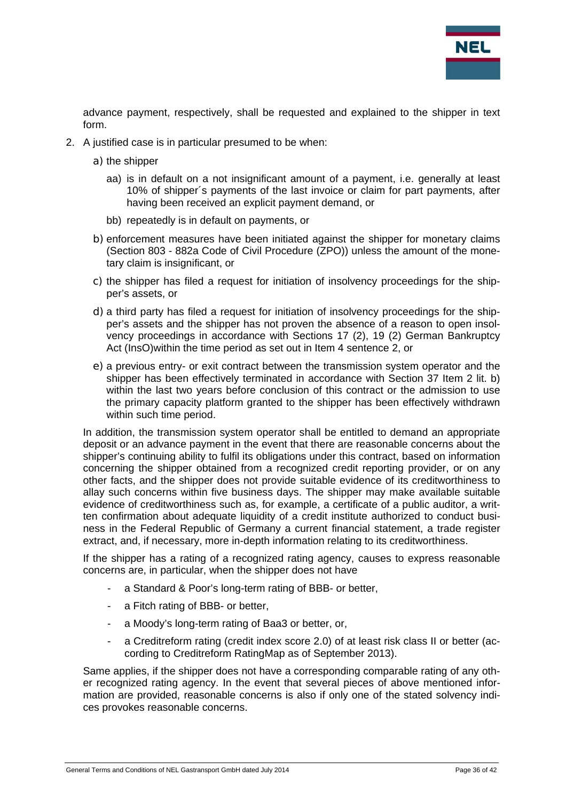

advance payment, respectively, shall be requested and explained to the shipper in text form.

- 2. A justified case is in particular presumed to be when:
	- a) the shipper
		- aa) is in default on a not insignificant amount of a payment, i.e. generally at least 10% of shipper´s payments of the last invoice or claim for part payments, after having been received an explicit payment demand, or
		- bb) repeatedly is in default on payments, or
	- b) enforcement measures have been initiated against the shipper for monetary claims (Section 803 - 882a Code of Civil Procedure (ZPO)) unless the amount of the monetary claim is insignificant, or
	- c) the shipper has filed a request for initiation of insolvency proceedings for the shipper's assets, or
	- d) a third party has filed a request for initiation of insolvency proceedings for the shipper's assets and the shipper has not proven the absence of a reason to open insolvency proceedings in accordance with Sections 17 (2), 19 (2) German Bankruptcy Act (InsO)within the time period as set out in Item 4 sentence 2, or
	- e) a previous entry- or exit contract between the transmission system operator and the shipper has been effectively terminated in accordance with Section 37 Item 2 lit. b) within the last two years before conclusion of this contract or the admission to use the primary capacity platform granted to the shipper has been effectively withdrawn within such time period.

In addition, the transmission system operator shall be entitled to demand an appropriate deposit or an advance payment in the event that there are reasonable concerns about the shipper's continuing ability to fulfil its obligations under this contract, based on information concerning the shipper obtained from a recognized credit reporting provider, or on any other facts, and the shipper does not provide suitable evidence of its creditworthiness to allay such concerns within five business days. The shipper may make available suitable evidence of creditworthiness such as, for example, a certificate of a public auditor, a written confirmation about adequate liquidity of a credit institute authorized to conduct business in the Federal Republic of Germany a current financial statement, a trade register extract, and, if necessary, more in-depth information relating to its creditworthiness.

If the shipper has a rating of a recognized rating agency, causes to express reasonable concerns are, in particular, when the shipper does not have

- a Standard & Poor's long-term rating of BBB- or better,
- a Fitch rating of BBB- or better,
- a Moody's long-term rating of Baa3 or better, or,
- a Creditreform rating (credit index score 2.0) of at least risk class II or better (according to Creditreform RatingMap as of September 2013).

Same applies, if the shipper does not have a corresponding comparable rating of any other recognized rating agency. In the event that several pieces of above mentioned information are provided, reasonable concerns is also if only one of the stated solvency indices provokes reasonable concerns.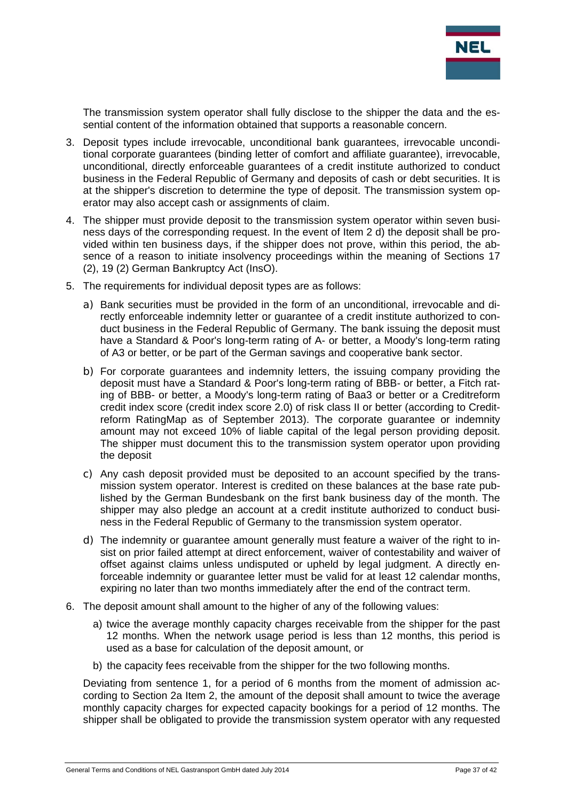

The transmission system operator shall fully disclose to the shipper the data and the essential content of the information obtained that supports a reasonable concern.

- 3. Deposit types include irrevocable, unconditional bank guarantees, irrevocable unconditional corporate guarantees (binding letter of comfort and affiliate guarantee), irrevocable, unconditional, directly enforceable guarantees of a credit institute authorized to conduct business in the Federal Republic of Germany and deposits of cash or debt securities. It is at the shipper's discretion to determine the type of deposit. The transmission system operator may also accept cash or assignments of claim.
- 4. The shipper must provide deposit to the transmission system operator within seven business days of the corresponding request. In the event of Item 2 d) the deposit shall be provided within ten business days, if the shipper does not prove, within this period, the absence of a reason to initiate insolvency proceedings within the meaning of Sections 17 (2), 19 (2) German Bankruptcy Act (InsO).
- 5. The requirements for individual deposit types are as follows:
	- a) Bank securities must be provided in the form of an unconditional, irrevocable and directly enforceable indemnity letter or guarantee of a credit institute authorized to conduct business in the Federal Republic of Germany. The bank issuing the deposit must have a Standard & Poor's long-term rating of A- or better, a Moody's long-term rating of A3 or better, or be part of the German savings and cooperative bank sector.
	- b) For corporate guarantees and indemnity letters, the issuing company providing the deposit must have a Standard & Poor's long-term rating of BBB- or better, a Fitch rating of BBB- or better, a Moody's long-term rating of Baa3 or better or a Creditreform credit index score (credit index score 2.0) of risk class II or better (according to Creditreform RatingMap as of September 2013). The corporate guarantee or indemnity amount may not exceed 10% of liable capital of the legal person providing deposit. The shipper must document this to the transmission system operator upon providing the deposit
	- c) Any cash deposit provided must be deposited to an account specified by the transmission system operator. Interest is credited on these balances at the base rate published by the German Bundesbank on the first bank business day of the month. The shipper may also pledge an account at a credit institute authorized to conduct business in the Federal Republic of Germany to the transmission system operator.
	- d) The indemnity or guarantee amount generally must feature a waiver of the right to insist on prior failed attempt at direct enforcement, waiver of contestability and waiver of offset against claims unless undisputed or upheld by legal judgment. A directly enforceable indemnity or guarantee letter must be valid for at least 12 calendar months, expiring no later than two months immediately after the end of the contract term.
- 6. The deposit amount shall amount to the higher of any of the following values:
	- a) twice the average monthly capacity charges receivable from the shipper for the past 12 months. When the network usage period is less than 12 months, this period is used as a base for calculation of the deposit amount, or
	- b) the capacity fees receivable from the shipper for the two following months.

Deviating from sentence 1, for a period of 6 months from the moment of admission according to Section 2a Item 2, the amount of the deposit shall amount to twice the average monthly capacity charges for expected capacity bookings for a period of 12 months. The shipper shall be obligated to provide the transmission system operator with any requested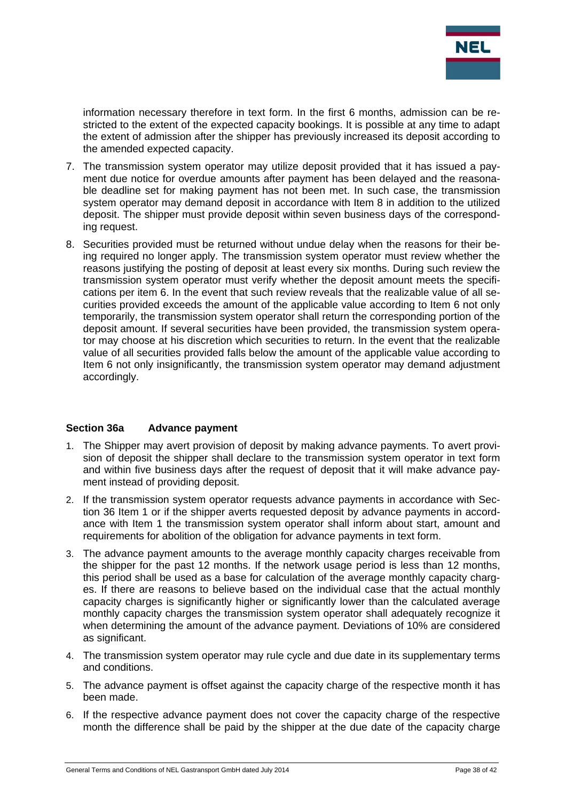

information necessary therefore in text form. In the first 6 months, admission can be restricted to the extent of the expected capacity bookings. It is possible at any time to adapt the extent of admission after the shipper has previously increased its deposit according to the amended expected capacity.

- 7. The transmission system operator may utilize deposit provided that it has issued a payment due notice for overdue amounts after payment has been delayed and the reasonable deadline set for making payment has not been met. In such case, the transmission system operator may demand deposit in accordance with Item 8 in addition to the utilized deposit. The shipper must provide deposit within seven business days of the corresponding request.
- 8. Securities provided must be returned without undue delay when the reasons for their being required no longer apply. The transmission system operator must review whether the reasons justifying the posting of deposit at least every six months. During such review the transmission system operator must verify whether the deposit amount meets the specifications per item 6. In the event that such review reveals that the realizable value of all securities provided exceeds the amount of the applicable value according to Item 6 not only temporarily, the transmission system operator shall return the corresponding portion of the deposit amount. If several securities have been provided, the transmission system operator may choose at his discretion which securities to return. In the event that the realizable value of all securities provided falls below the amount of the applicable value according to Item 6 not only insignificantly, the transmission system operator may demand adjustment accordingly.

#### **Section 36a Advance payment**

- 1. The Shipper may avert provision of deposit by making advance payments. To avert provision of deposit the shipper shall declare to the transmission system operator in text form and within five business days after the request of deposit that it will make advance payment instead of providing deposit.
- 2. If the transmission system operator requests advance payments in accordance with Section 36 Item 1 or if the shipper averts requested deposit by advance payments in accordance with Item 1 the transmission system operator shall inform about start, amount and requirements for abolition of the obligation for advance payments in text form.
- 3. The advance payment amounts to the average monthly capacity charges receivable from the shipper for the past 12 months. If the network usage period is less than 12 months, this period shall be used as a base for calculation of the average monthly capacity charges. If there are reasons to believe based on the individual case that the actual monthly capacity charges is significantly higher or significantly lower than the calculated average monthly capacity charges the transmission system operator shall adequately recognize it when determining the amount of the advance payment. Deviations of 10% are considered as significant.
- 4. The transmission system operator may rule cycle and due date in its supplementary terms and conditions.
- 5. The advance payment is offset against the capacity charge of the respective month it has been made.
- 6. If the respective advance payment does not cover the capacity charge of the respective month the difference shall be paid by the shipper at the due date of the capacity charge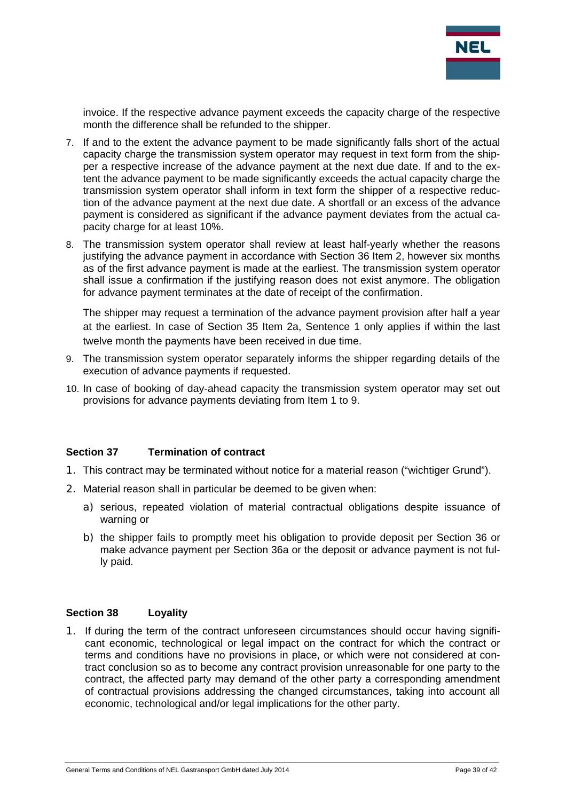

invoice. If the respective advance payment exceeds the capacity charge of the respective month the difference shall be refunded to the shipper.

- 7. If and to the extent the advance payment to be made significantly falls short of the actual capacity charge the transmission system operator may request in text form from the shipper a respective increase of the advance payment at the next due date. If and to the extent the advance payment to be made significantly exceeds the actual capacity charge the transmission system operator shall inform in text form the shipper of a respective reduction of the advance payment at the next due date. A shortfall or an excess of the advance payment is considered as significant if the advance payment deviates from the actual capacity charge for at least 10%.
- 8. The transmission system operator shall review at least half-yearly whether the reasons justifying the advance payment in accordance with Section 36 Item 2, however six months as of the first advance payment is made at the earliest. The transmission system operator shall issue a confirmation if the justifying reason does not exist anymore. The obligation for advance payment terminates at the date of receipt of the confirmation.

The shipper may request a termination of the advance payment provision after half a year at the earliest. In case of Section 35 Item 2a, Sentence 1 only applies if within the last twelve month the payments have been received in due time.

- 9. The transmission system operator separately informs the shipper regarding details of the execution of advance payments if requested.
- 10. In case of booking of day-ahead capacity the transmission system operator may set out provisions for advance payments deviating from Item 1 to 9.

#### **Section 37 Termination of contract**

- 1. This contract may be terminated without notice for a material reason ("wichtiger Grund").
- 2. Material reason shall in particular be deemed to be given when:
	- a) serious, repeated violation of material contractual obligations despite issuance of warning or
	- b) the shipper fails to promptly meet his obligation to provide deposit per Section 36 or make advance payment per Section 36a or the deposit or advance payment is not fully paid.

#### **Section 38 Loyality**

1. If during the term of the contract unforeseen circumstances should occur having significant economic, technological or legal impact on the contract for which the contract or terms and conditions have no provisions in place, or which were not considered at contract conclusion so as to become any contract provision unreasonable for one party to the contract, the affected party may demand of the other party a corresponding amendment of contractual provisions addressing the changed circumstances, taking into account all economic, technological and/or legal implications for the other party.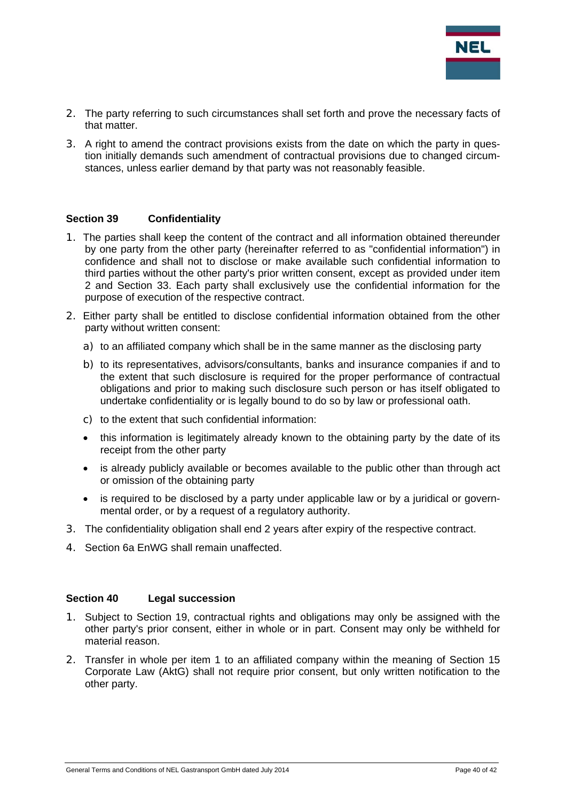

- 2. The party referring to such circumstances shall set forth and prove the necessary facts of that matter.
- 3. A right to amend the contract provisions exists from the date on which the party in question initially demands such amendment of contractual provisions due to changed circumstances, unless earlier demand by that party was not reasonably feasible.

#### **Section 39 Confidentiality**

- 1. The parties shall keep the content of the contract and all information obtained thereunder by one party from the other party (hereinafter referred to as "confidential information") in confidence and shall not to disclose or make available such confidential information to third parties without the other party's prior written consent, except as provided under item 2 and Section 33. Each party shall exclusively use the confidential information for the purpose of execution of the respective contract.
- 2. Either party shall be entitled to disclose confidential information obtained from the other party without written consent:
	- a) to an affiliated company which shall be in the same manner as the disclosing party
	- b) to its representatives, advisors/consultants, banks and insurance companies if and to the extent that such disclosure is required for the proper performance of contractual obligations and prior to making such disclosure such person or has itself obligated to undertake confidentiality or is legally bound to do so by law or professional oath.
	- c) to the extent that such confidential information:
	- this information is legitimately already known to the obtaining party by the date of its receipt from the other party
	- is already publicly available or becomes available to the public other than through act or omission of the obtaining party
	- is required to be disclosed by a party under applicable law or by a juridical or governmental order, or by a request of a regulatory authority.
- 3. The confidentiality obligation shall end 2 years after expiry of the respective contract.
- 4. Section 6a EnWG shall remain unaffected.

## **Section 40 Legal succession**

- 1. Subject to Section 19, contractual rights and obligations may only be assigned with the other party's prior consent, either in whole or in part. Consent may only be withheld for material reason.
- 2. Transfer in whole per item 1 to an affiliated company within the meaning of Section 15 Corporate Law (AktG) shall not require prior consent, but only written notification to the other party.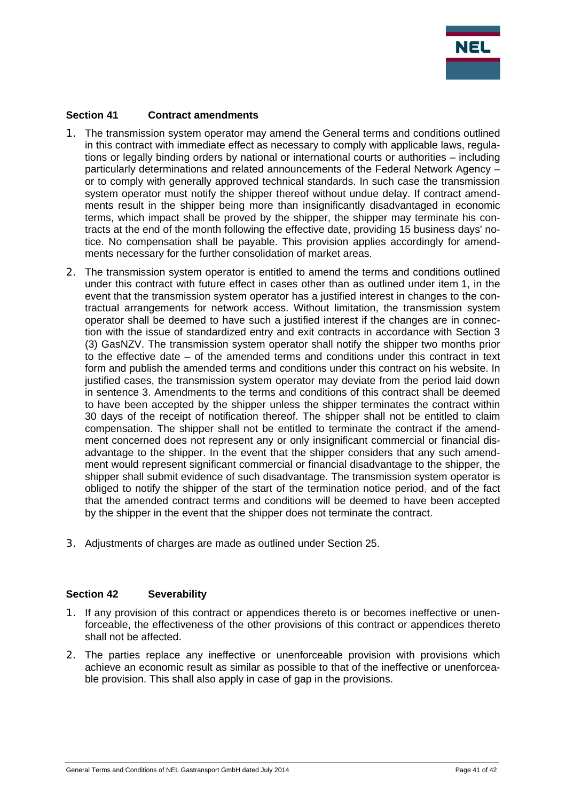

## **Section 41 Contract amendments**

- 1. The transmission system operator may amend the General terms and conditions outlined in this contract with immediate effect as necessary to comply with applicable laws, regulations or legally binding orders by national or international courts or authorities – including particularly determinations and related announcements of the Federal Network Agency – or to comply with generally approved technical standards. In such case the transmission system operator must notify the shipper thereof without undue delay. If contract amendments result in the shipper being more than insignificantly disadvantaged in economic terms, which impact shall be proved by the shipper, the shipper may terminate his contracts at the end of the month following the effective date, providing 15 business days' notice. No compensation shall be payable. This provision applies accordingly for amendments necessary for the further consolidation of market areas.
- 2. The transmission system operator is entitled to amend the terms and conditions outlined under this contract with future effect in cases other than as outlined under item 1, in the event that the transmission system operator has a justified interest in changes to the contractual arrangements for network access. Without limitation, the transmission system operator shall be deemed to have such a justified interest if the changes are in connection with the issue of standardized entry and exit contracts in accordance with Section 3 (3) GasNZV. The transmission system operator shall notify the shipper two months prior to the effective date – of the amended terms and conditions under this contract in text form and publish the amended terms and conditions under this contract on his website. In justified cases, the transmission system operator may deviate from the period laid down in sentence 3. Amendments to the terms and conditions of this contract shall be deemed to have been accepted by the shipper unless the shipper terminates the contract within 30 days of the receipt of notification thereof. The shipper shall not be entitled to claim compensation. The shipper shall not be entitled to terminate the contract if the amendment concerned does not represent any or only insignificant commercial or financial disadvantage to the shipper. In the event that the shipper considers that any such amendment would represent significant commercial or financial disadvantage to the shipper, the shipper shall submit evidence of such disadvantage. The transmission system operator is obliged to notify the shipper of the start of the termination notice period, and of the fact that the amended contract terms and conditions will be deemed to have been accepted by the shipper in the event that the shipper does not terminate the contract.
- 3. Adjustments of charges are made as outlined under Section 25.

#### **Section 42 Severability**

- 1. If any provision of this contract or appendices thereto is or becomes ineffective or unenforceable, the effectiveness of the other provisions of this contract or appendices thereto shall not be affected.
- 2. The parties replace any ineffective or unenforceable provision with provisions which achieve an economic result as similar as possible to that of the ineffective or unenforceable provision. This shall also apply in case of gap in the provisions.